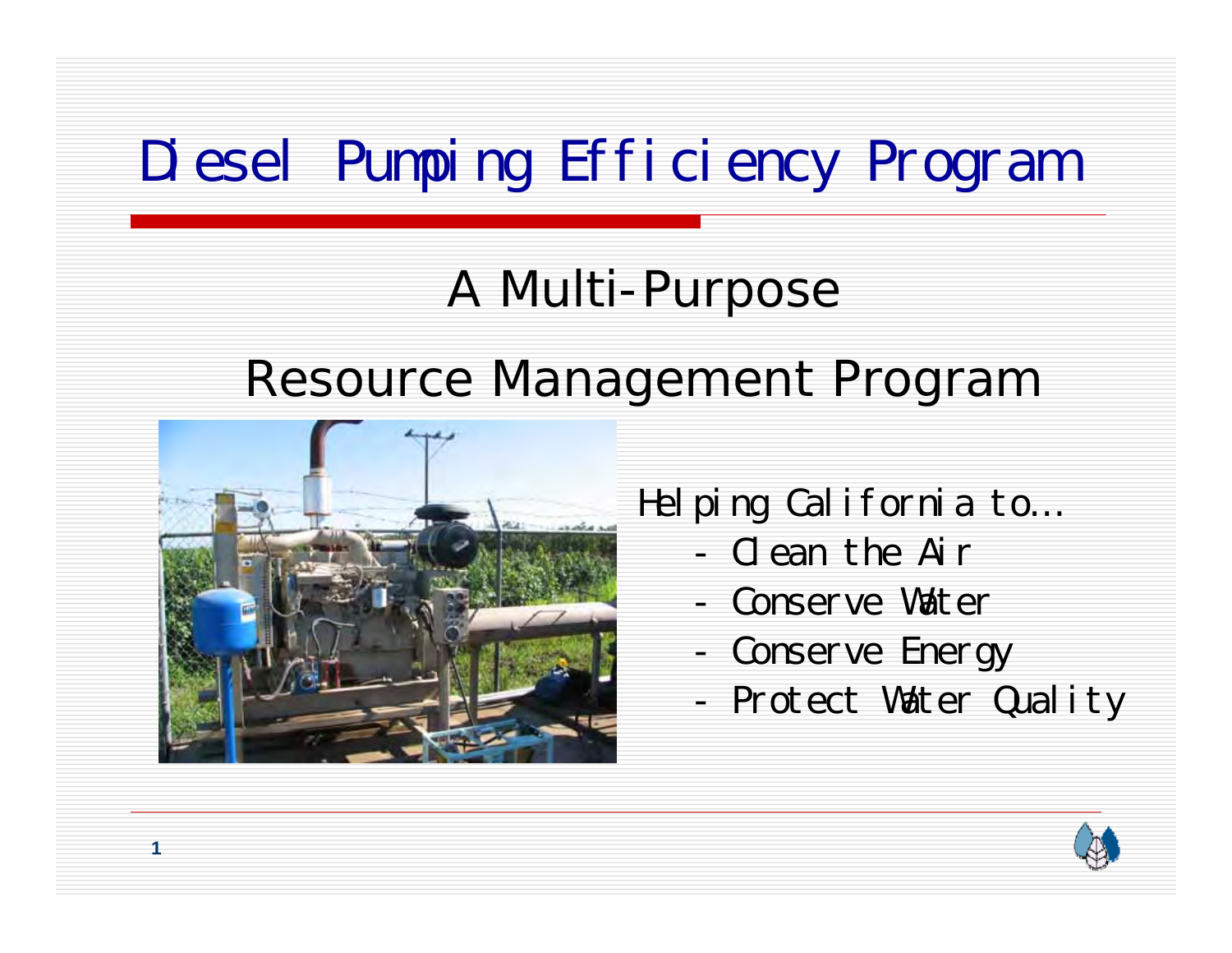# Diesel Pumping Efficiency Program

#### A Multi-Purpose

#### Resource Management Program



Helping California to…

- Clean the Air
- Conserve Water
- Conserve Energy
- Protect Water Quality

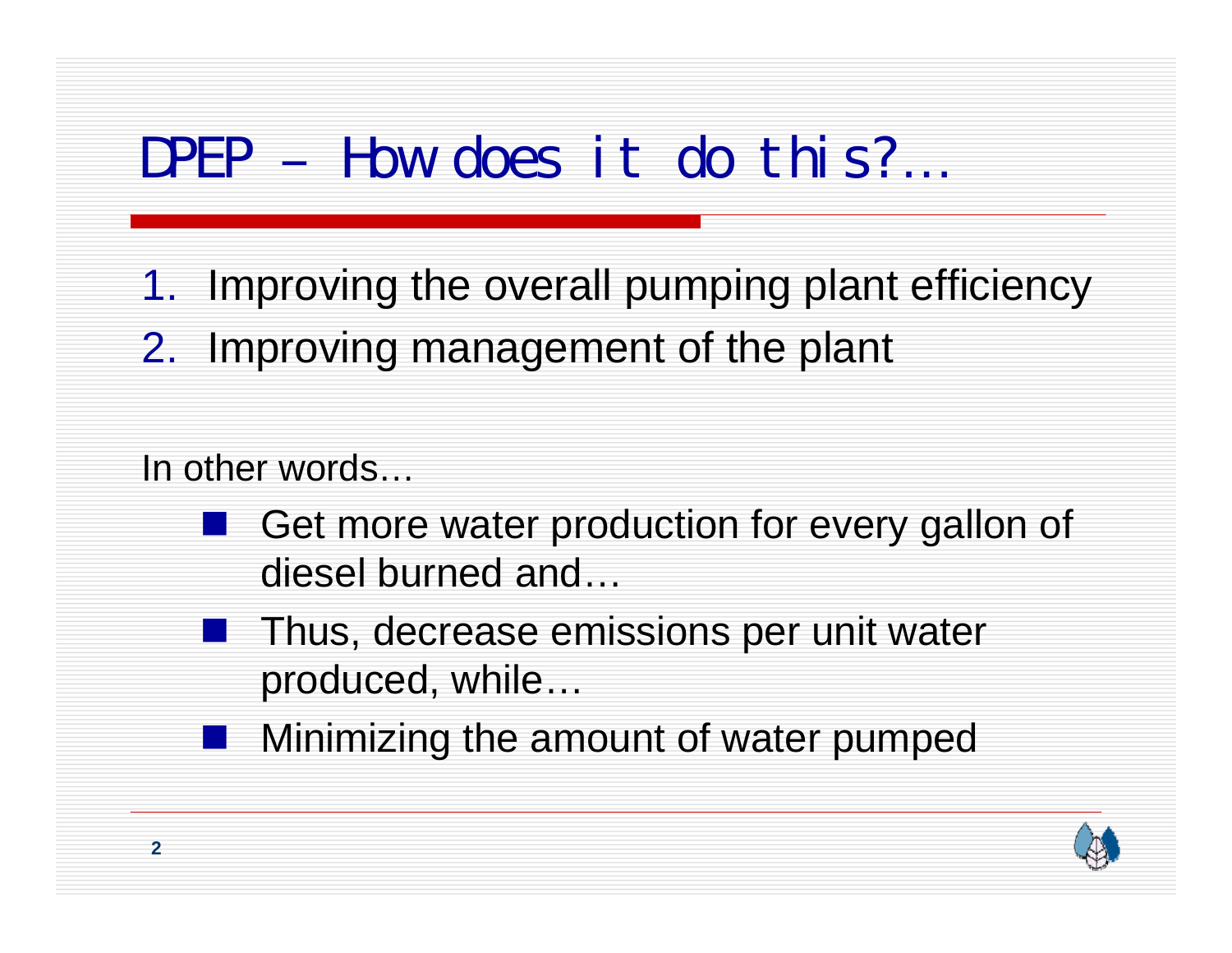## DPEP – How does it do this?…

- 1. Improving the overall pumping plant efficiency
- 2. Improving management of the plant

#### In other words…

- Get more water production for every gallon of diesel burned and…
- **Thus, decrease emissions per unit water** produced, while…
- **Minimizing the amount of water pumped**

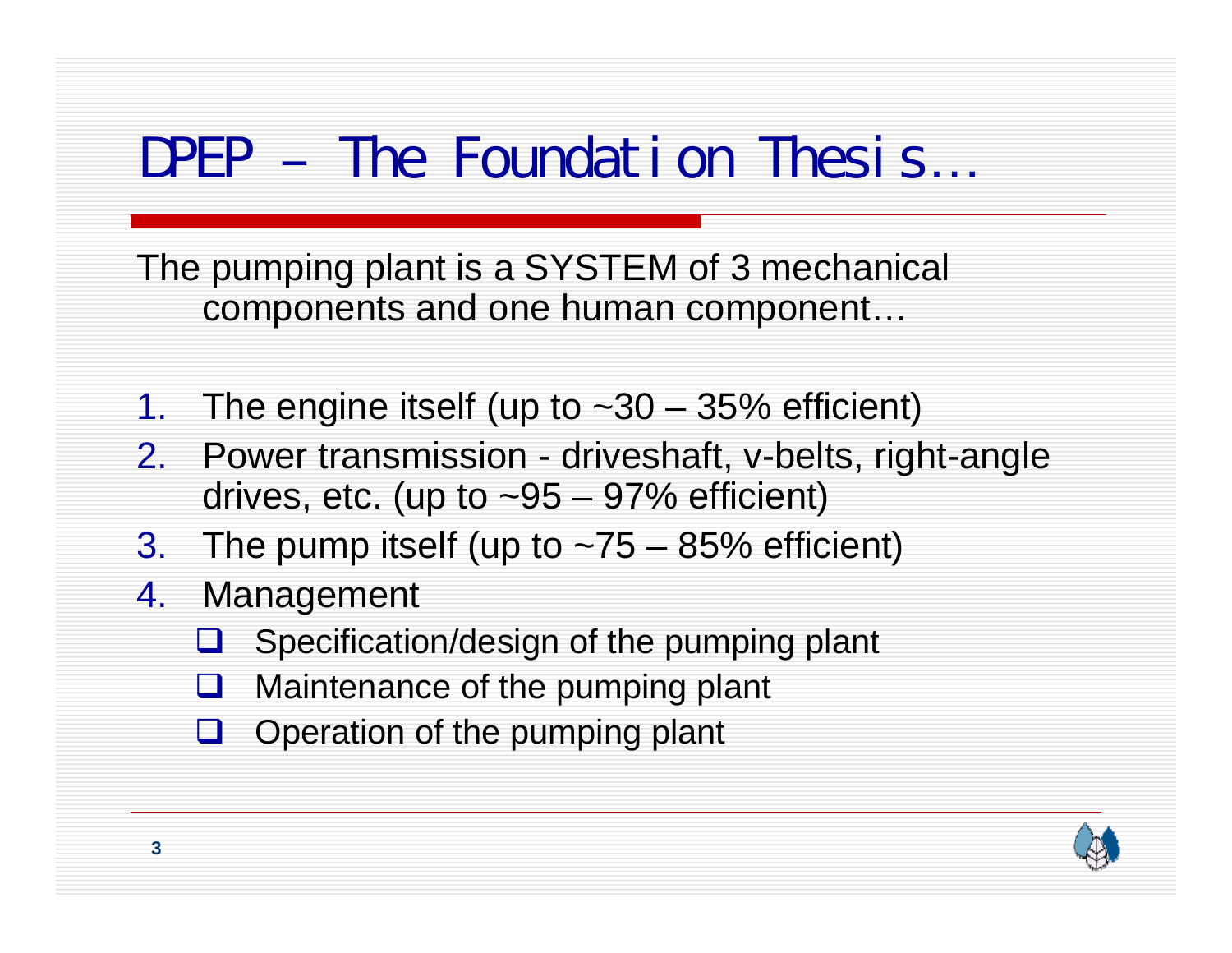## DPEP – The Foundation Thesis...

The pumping plant is a SYSTEM of 3 mechanical components and one human component…

- 1. The engine itself (up to ~30 35% efficient)
- 2. Power transmission driveshaft, v-belts, right-angle drives, etc. (up to  $\sim 95 - 97\%$  efficient)
- 3. The pump itself (up to  $-75 85%$  efficient)
- 4. Management
	- U -Specification/design of the pumping plant
	- $\sqcup$ Maintenance of the pumping plant
	- $\Box$  Operation of the pumping plant

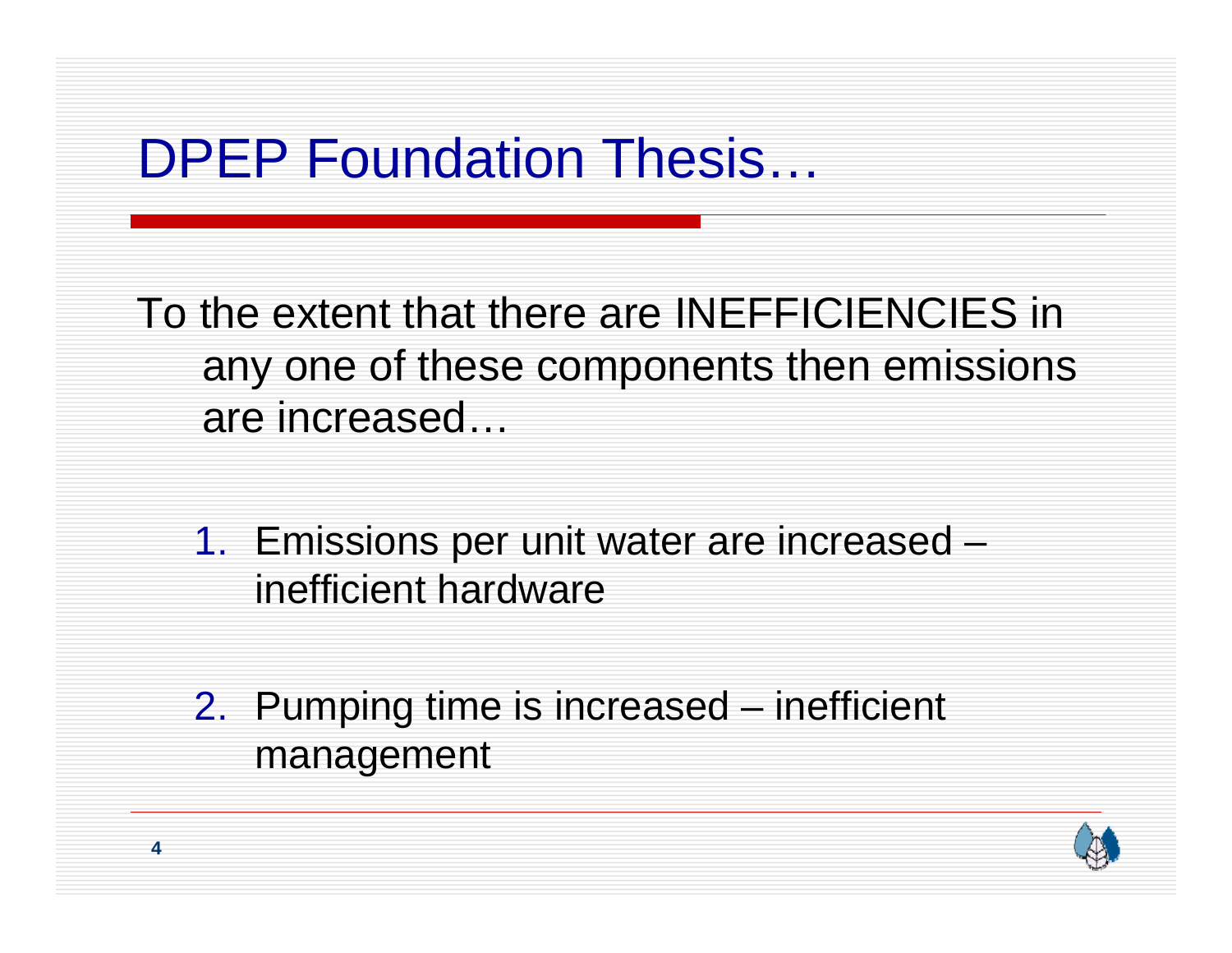## DPEP Foundation Thesis…

To the extent that there are INEFFICIENCIES in any one of these components then emissions are increased…

- 1. Emissions per unit water are increased inefficient hardware
- 2. Pumping time is increased inefficient management

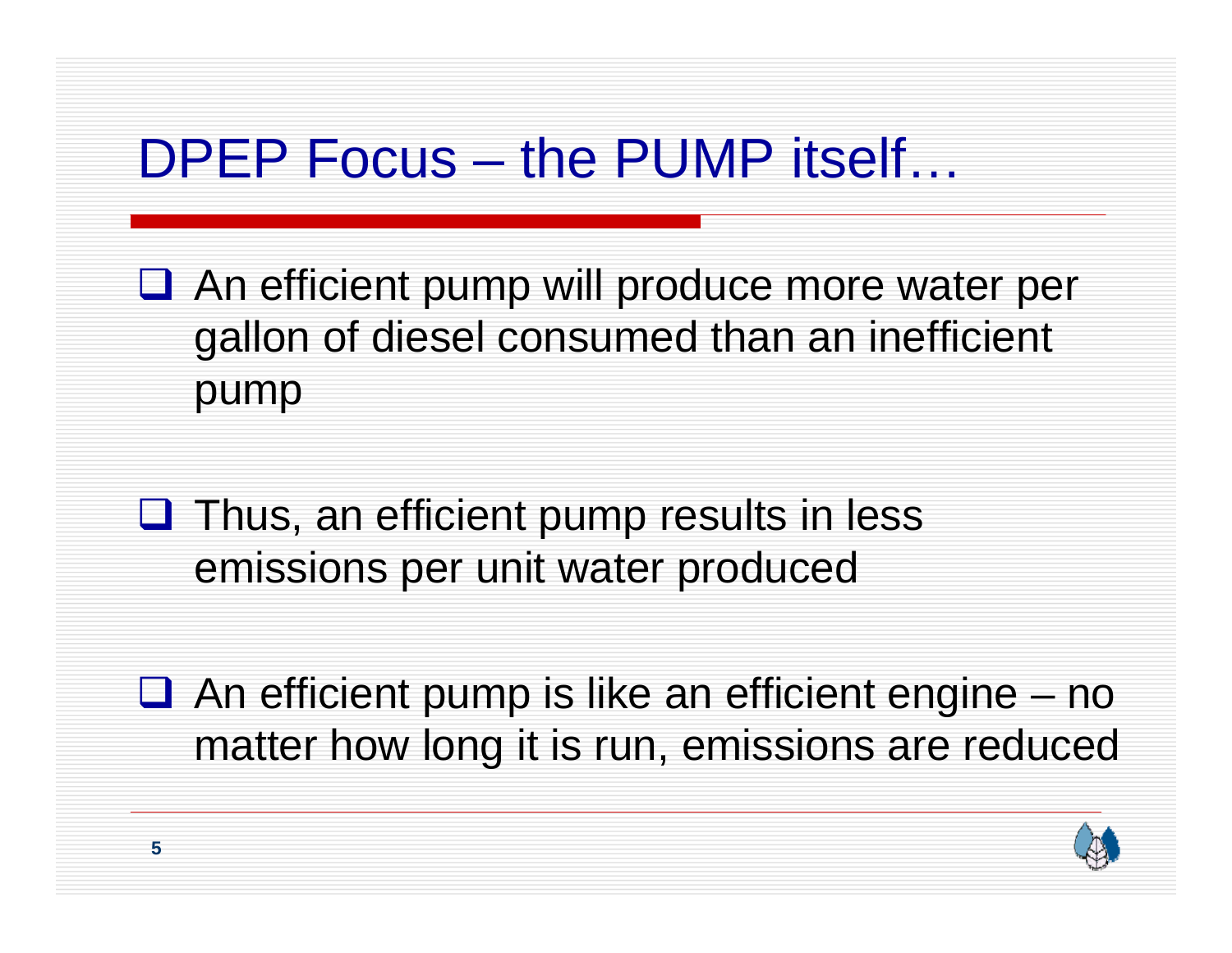## DPEP Focus – the PUMP itself…

- **□** An efficient pump will produce more water per gallon of diesel consumed than an inefficient pump
- $\Box$  Thus, an efficient pump results in less emissions per unit water produced
- $\Box$  An efficient pump is like an efficient engine no matter how long it is run, emissions are reduced

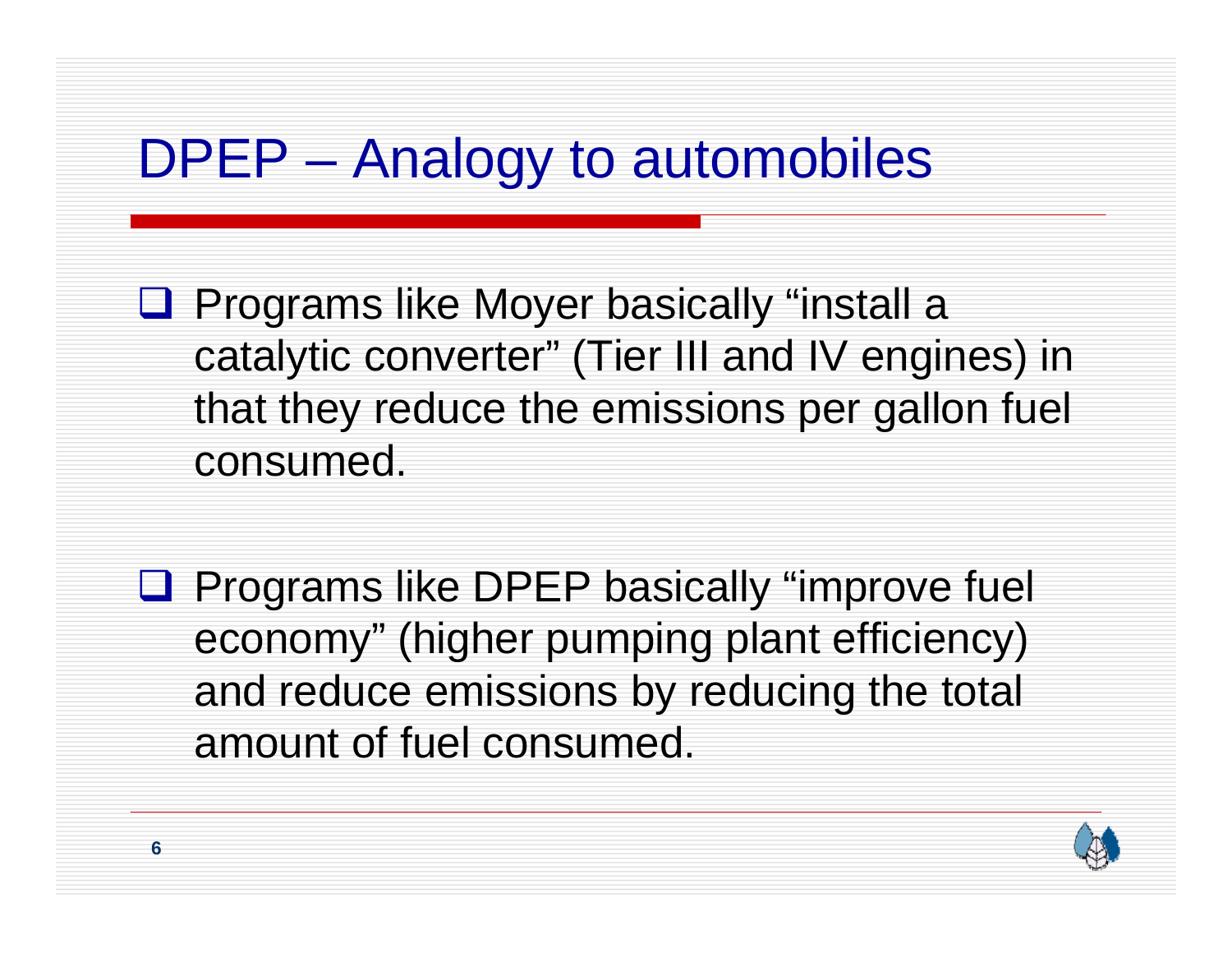# DPEP – Analogy to automobiles

- **Q** Programs like Moyer basically "install a catalytic converter" (Tier III and IV engines) in that they reduce the emissions per gallon fuel consumed.
- **Q** Programs like DPEP basically "improve fuel economy" (higher pumping plant efficiency) and reduce emissions by reducing the total amount of fuel consumed.

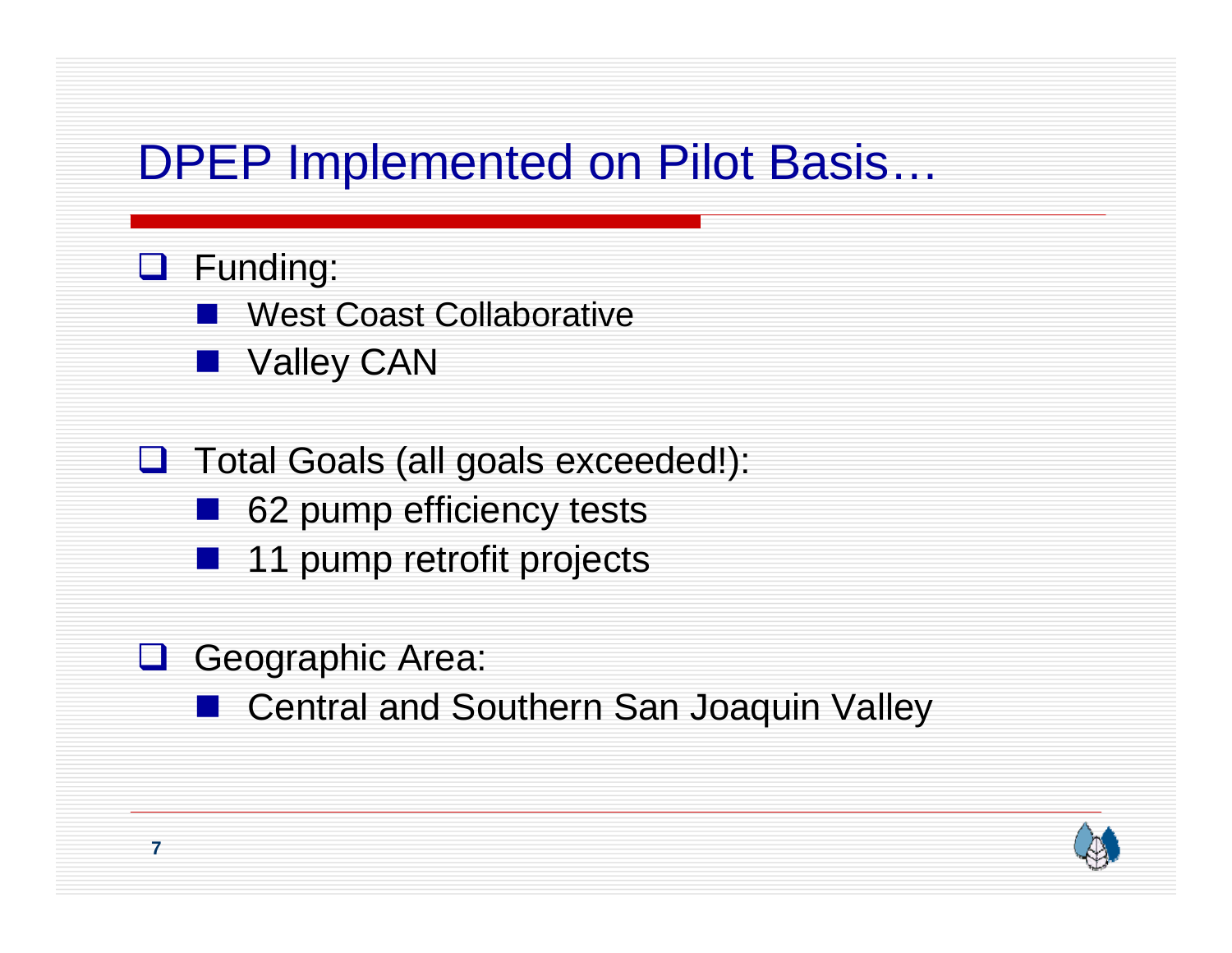#### DPEP Implemented on Pilot Basis…

#### **Q** Funding:

- West Coast Collaborative
- Valley CAN
- **Q** Total Goals (all goals exceeded!):
	- 62 pump efficiency tests
	- 11 pump retrofit projects
- **Q** Geographic Area:
	- Central and Southern San Joaquin Valley

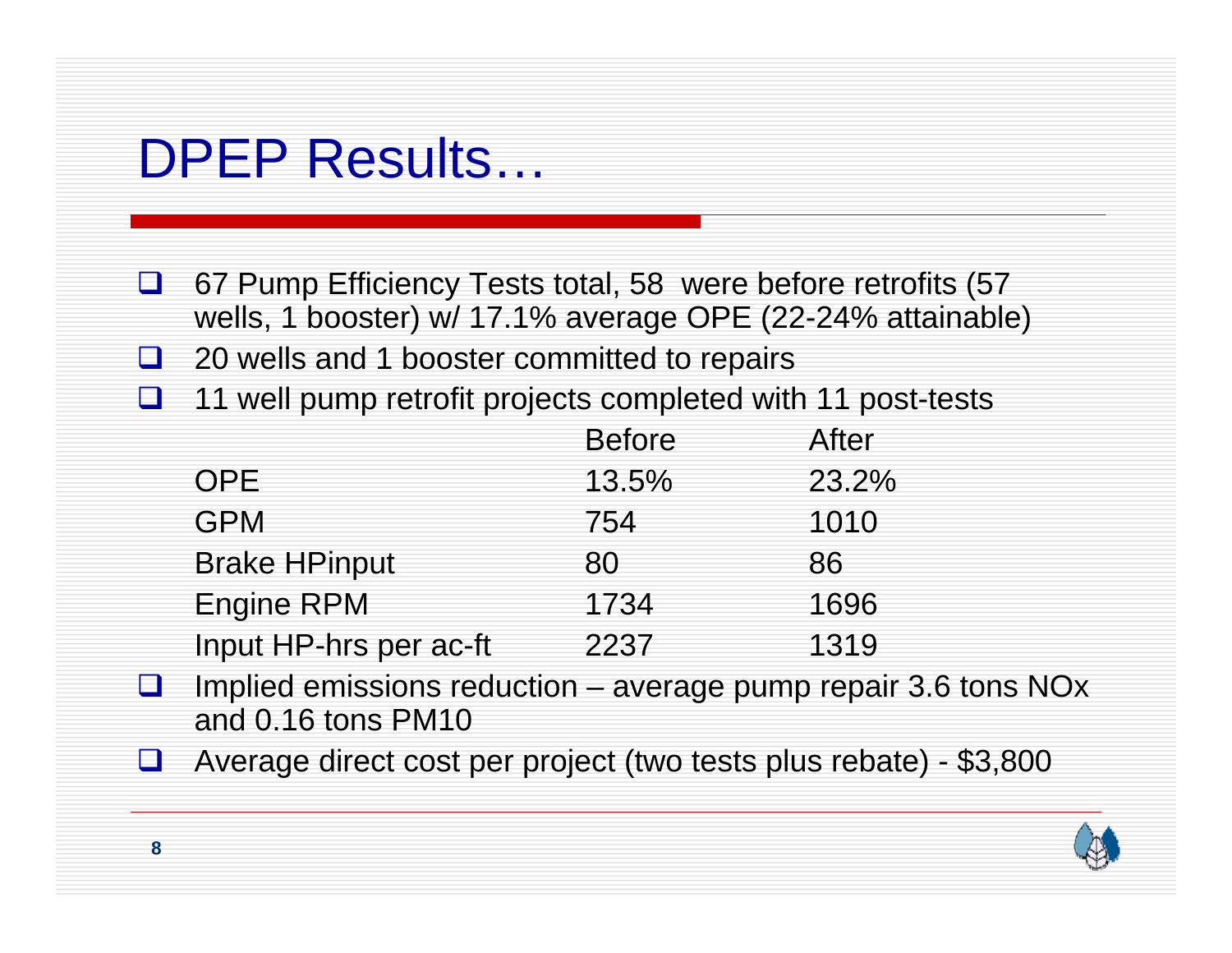#### DPEP Results…

- $\Box$  67 Pump Efficiency Tests total, 58 were before retrofits (57 wells, 1 booster) w/ 17.1% average OPE (22-24% attainable)
- $\Box$ 20 wells and 1 booster committed to repairs
- $\Box$ 11 well pump retrofit projects completed with 11 post-tests

|                        | <b>Before</b> | After |
|------------------------|---------------|-------|
| OPE.                   | 13.5%         | 23.2% |
| <b>GPM</b>             | 754           | 1010  |
| <b>Brake HPinput</b>   | 80            | 86    |
| <b>Engine RPM</b>      | 1734          | 1696  |
| Input HP-hrs per ac-ft | 2237          | 1319  |

- $\Box$  Implied emissions reduction – average pump repair 3.6 tons NOx and 0.16 tons PM10
- $\Box$ Average direct cost per project (two tests plus rebate) - \$3,800

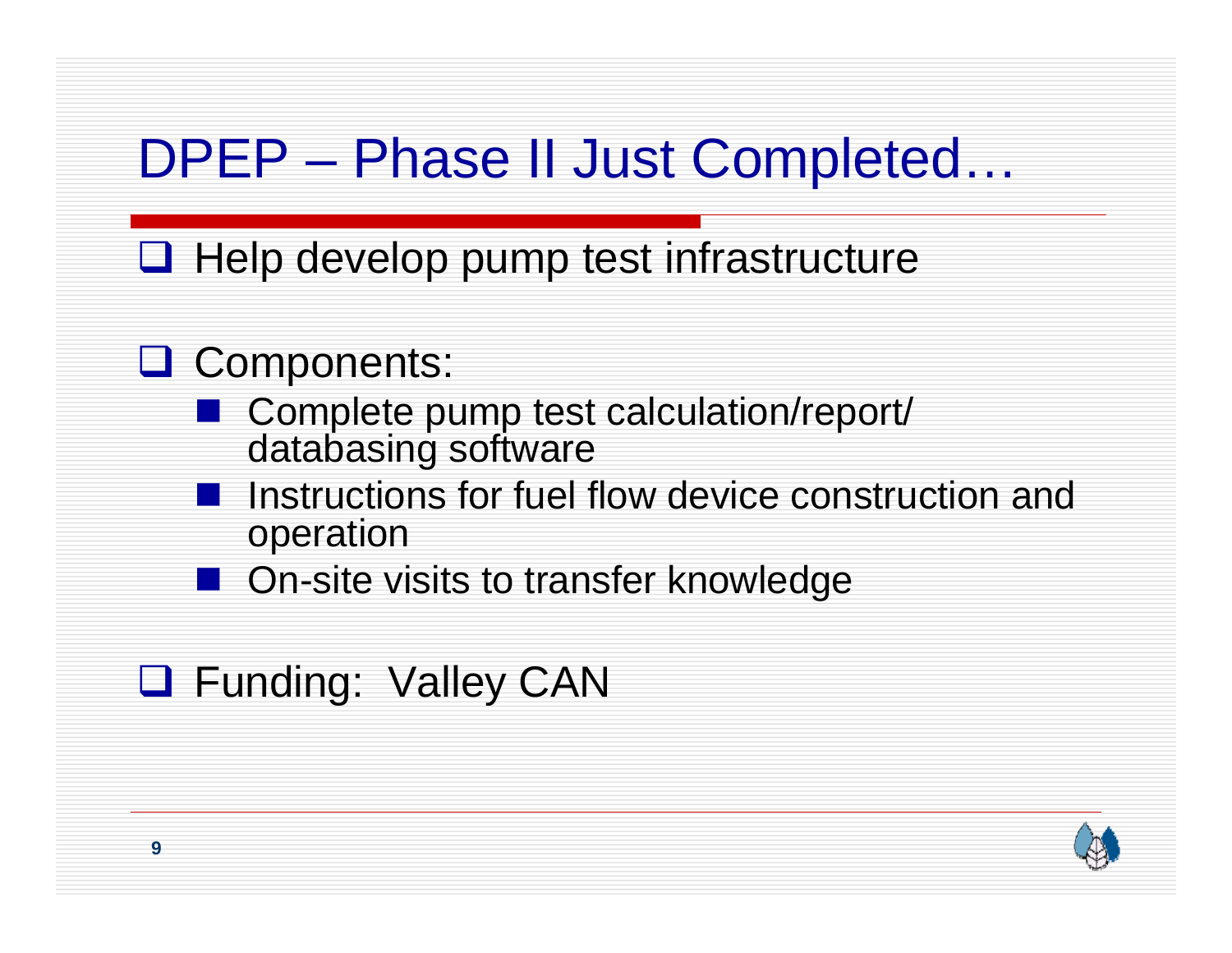## DPEP – Phase II Just Completed…

 $\Box$  Help develop pump test infrastructure

#### **Q** Components:

- Complete pump test calculation/report/ databasing software
- Instructions for fuel flow device construction and operation
- On-site visits to transfer knowledge

#### **Q** Funding: Valley CAN

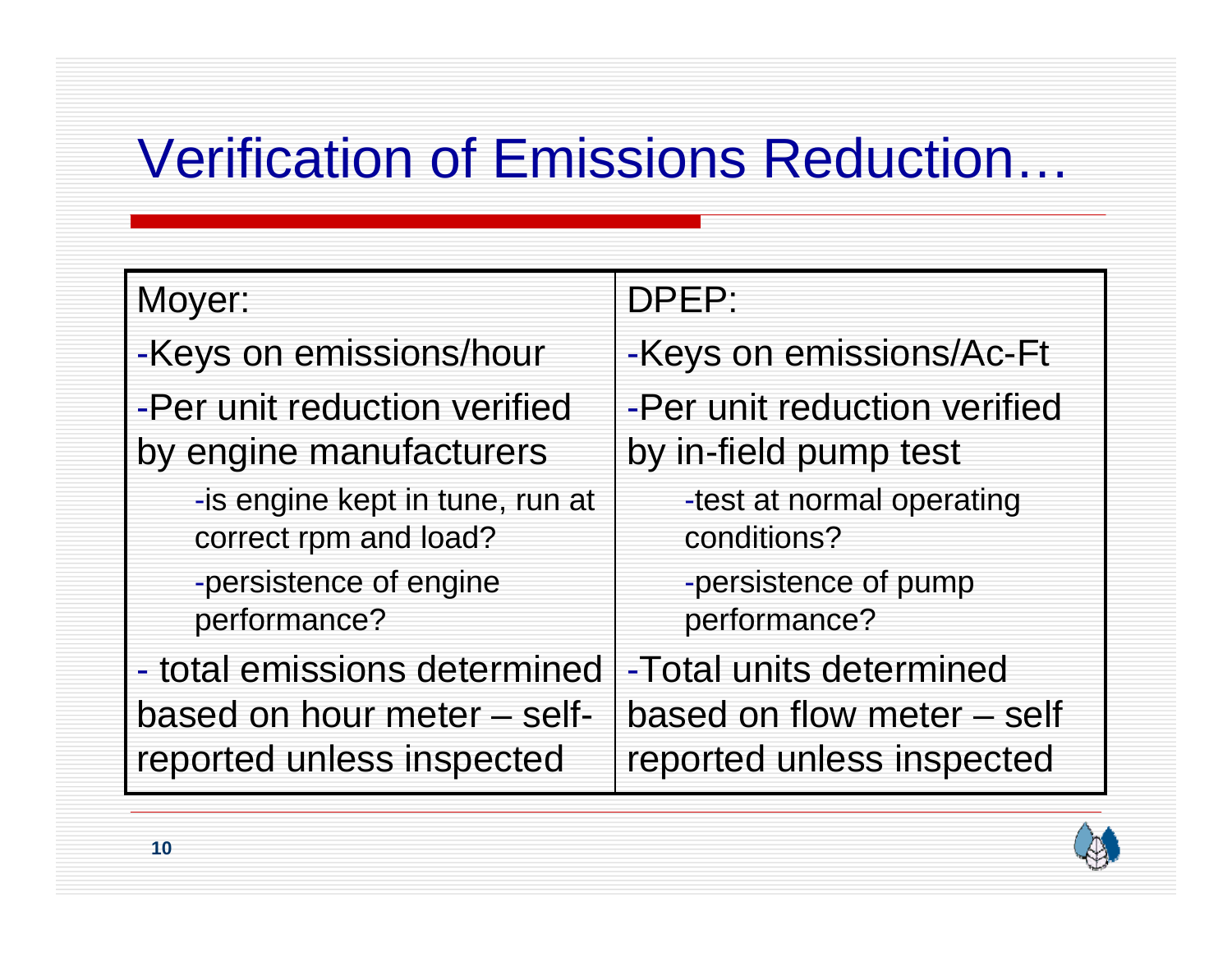# Verification of Emissions Reduction…

#### Moyer:

-Keys on emissions/hour -Per unit reduction verified by engine manufacturers

> -is engine kept in tune, run at correct rpm and load? -persistence of engine performance?

- total emissions determined based on hour meter – selfreported unless inspected

#### DPEP:

-Keys on emissions/Ac-Ft

-Per unit reduction verified by in-field pump test

> -test at normal operating conditions?

-persistence of pump performance?

-Total units determined based on flow meter – self reported unless inspected

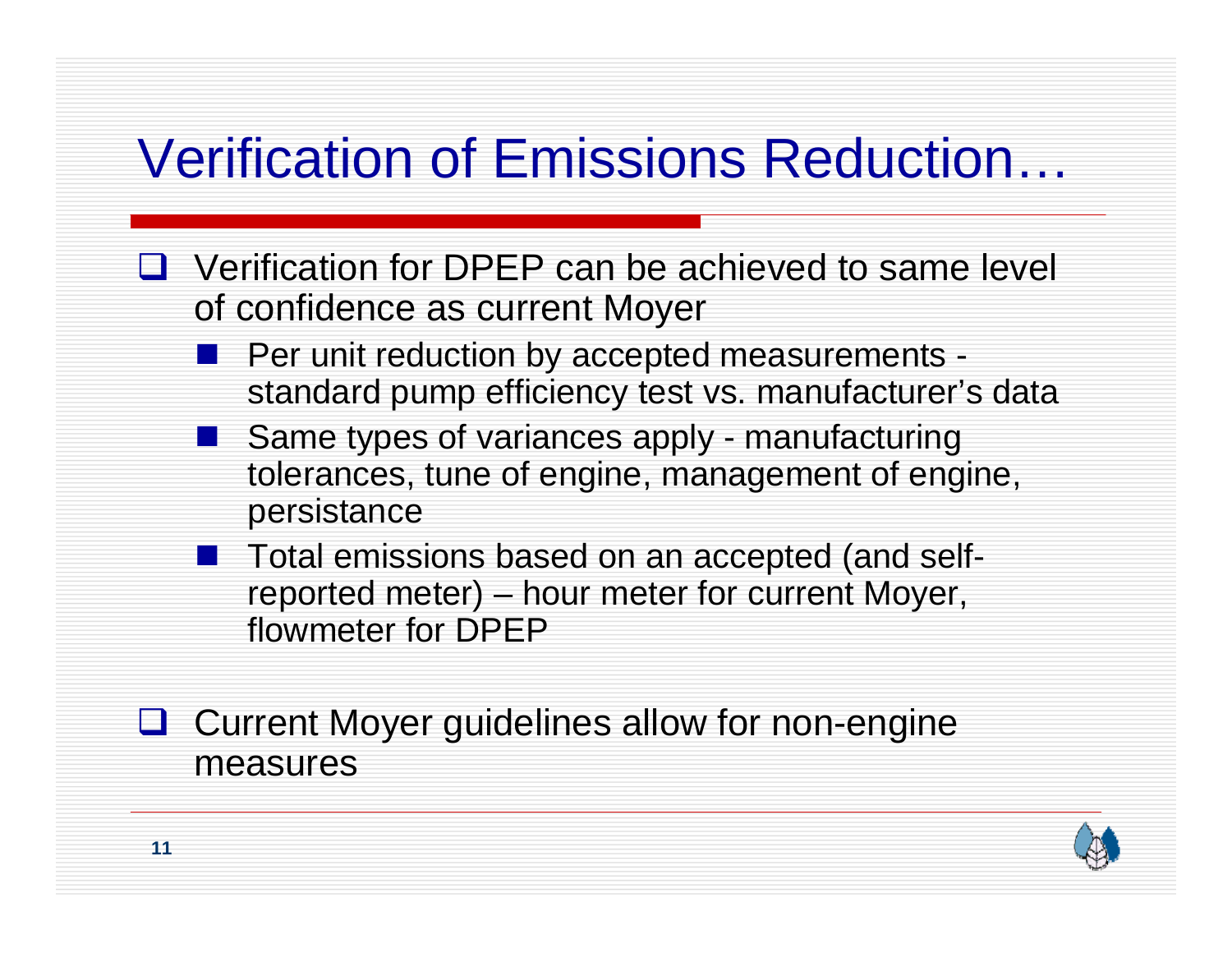# Verification of Emissions Reduction…

- **□** Verification for DPEP can be achieved to same level of confidence as current Moyer
	- Per unit reduction by accepted measurements standard pump efficiency test vs. manufacturer's data
	- Same types of variances apply manufacturing tolerances, tune of engine, management of engine, persistance
	- **The Total emissions based on an accepted (and self**reported meter) – hour meter for current Moyer, flowmeter for DPEP
- **Q** Current Moyer guidelines allow for non-engine measures

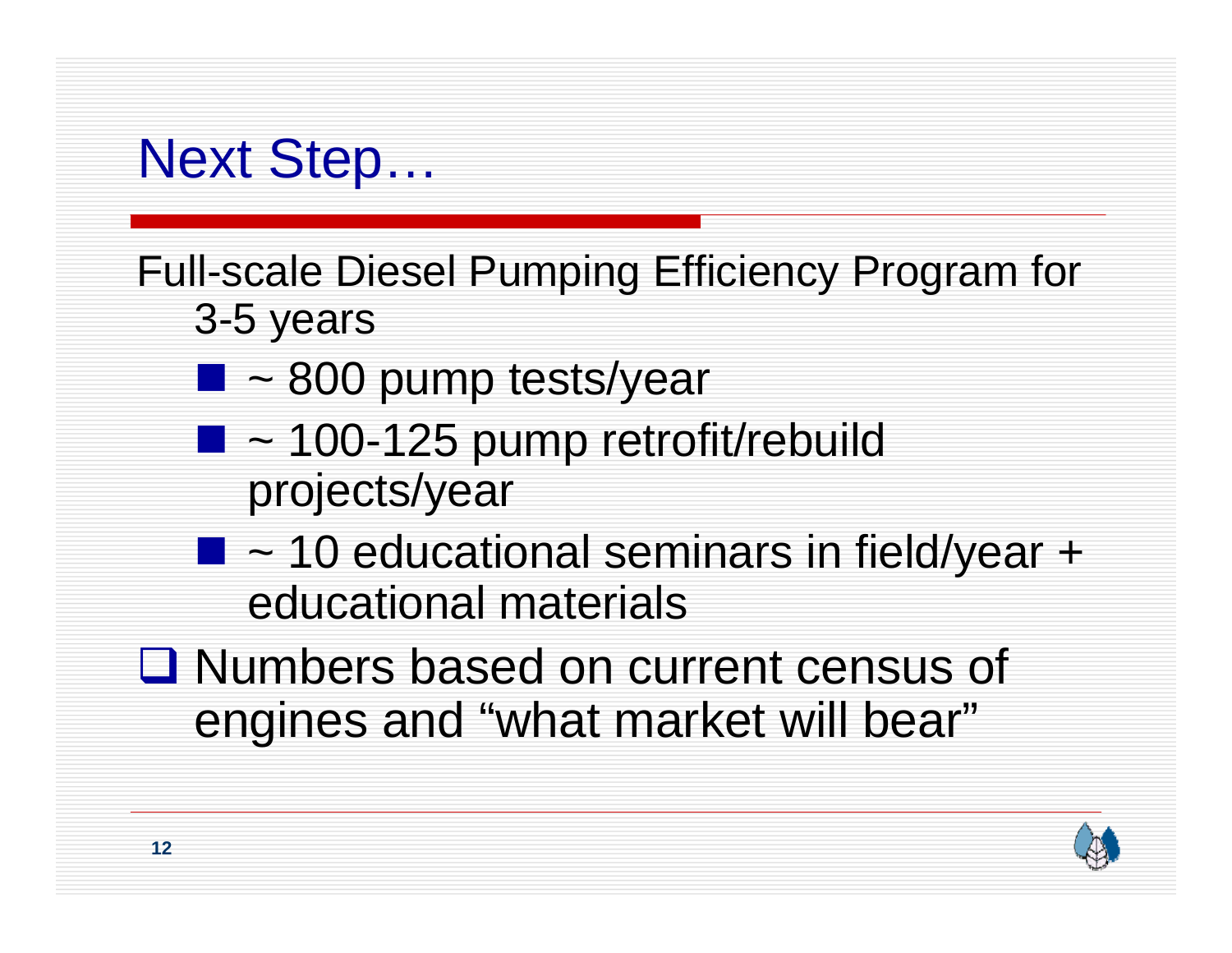#### Next Step…

Full-scale Diesel Pumping Efficiency Program for 3-5 years

- $\blacksquare$  ~ 800 pump tests/year
- $\blacksquare$  ~ 100-125 pump retrofit/rebuild projects/year
- $\blacksquare$  ~ 10 educational seminars in field/year + educational materials
- Numbers based on current census of engines and "what market will bear"

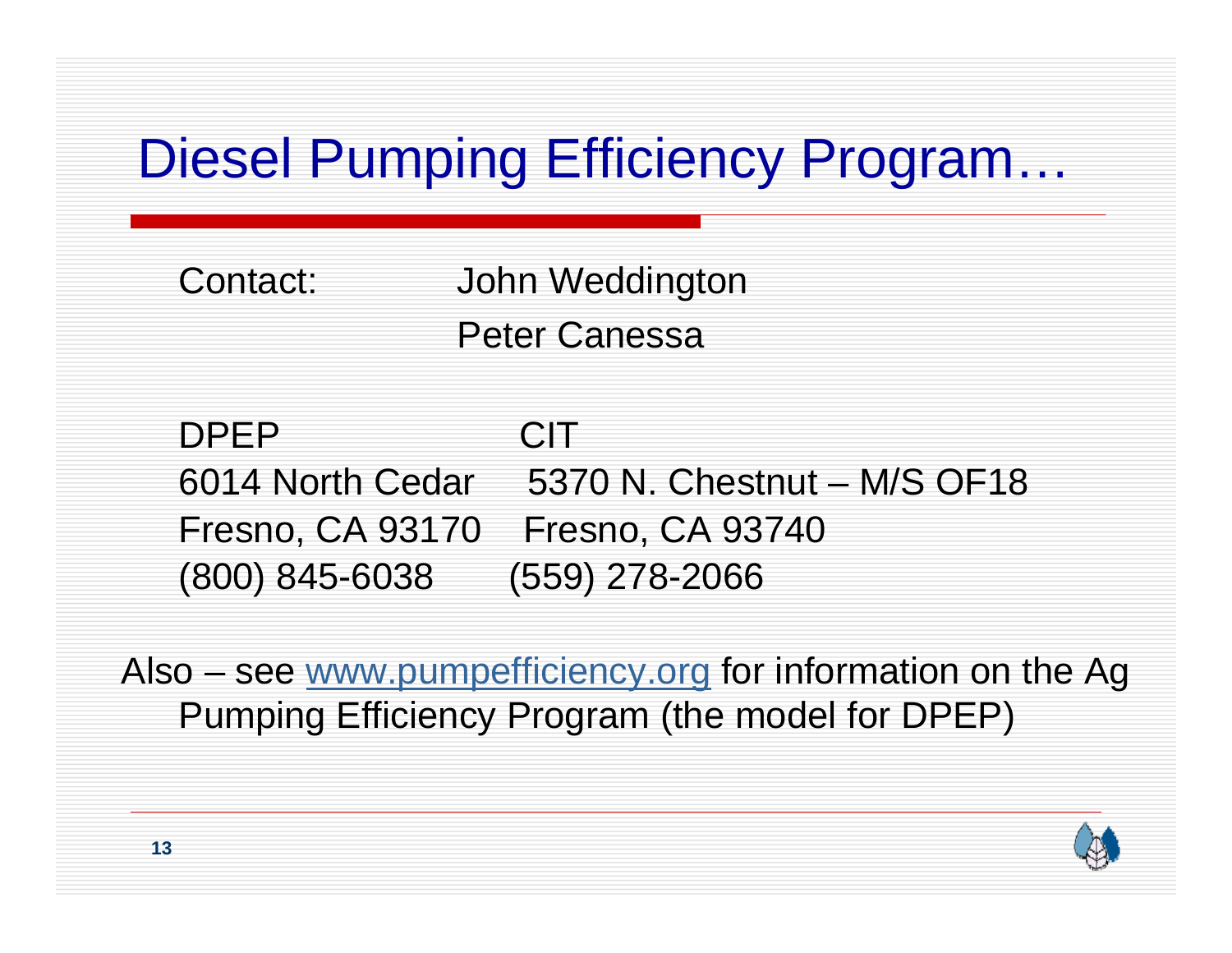# Diesel Pumping Efficiency Program…

Contact: John Weddington Peter Canessa

DPEP**CIT** 6014 North Cedar 5370 N. Chestnut – M/S OF18Fresno, CA 93170 Fresno, CA 93740 (800) 845-6038 (559) 278-2066

Also – see www.pumpefficiency.org for information on the Ag Pumping Efficiency Program (the model for DPEP)

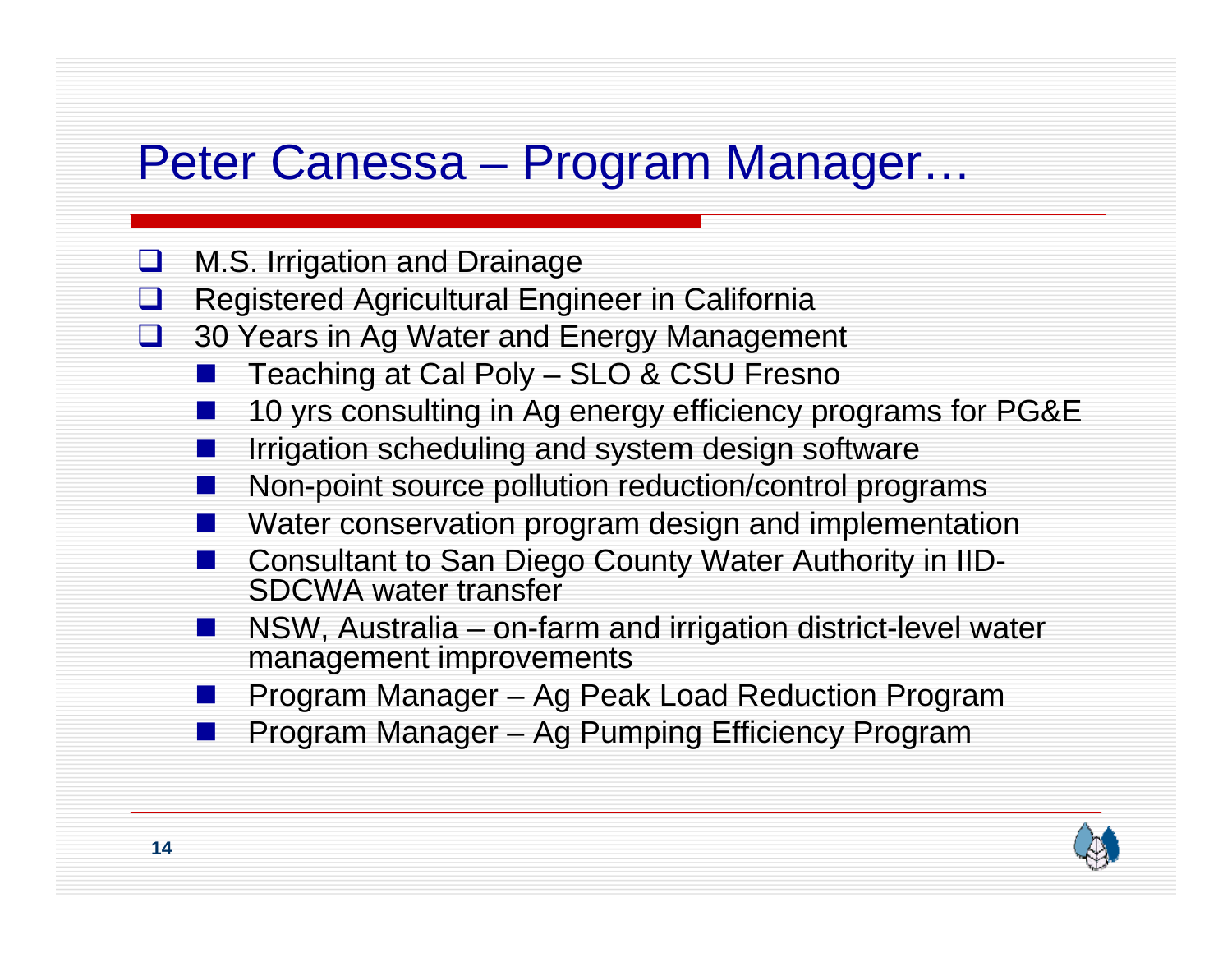#### Peter Canessa – Program Manager…

- $\sqcup$ M.S. Irrigation and Drainage
- $\sqcup$ Registered Agricultural Engineer in California
- $\sqcup$  30 Years in Ag Water and Energy Management
	- Teaching at Cal Poly – SLO & CSU Fresno
	- 10 yrs consulting in Ag energy efficiency programs for PG&E
	- Irrigation scheduling and system design software
	- Non-point source pollution reduction/control programs
	- Water conservation program design and implementation
	- Consultant to San Diego County Water Authority in IID-SDCWA water transfer
	- **Service Service**  NSW, Australia – on-farm and irrigation district-level water management improvements
	- Program Manager Ag Peak Load Reduction Program
	- Program Manager Ag Pumping Efficiency Program

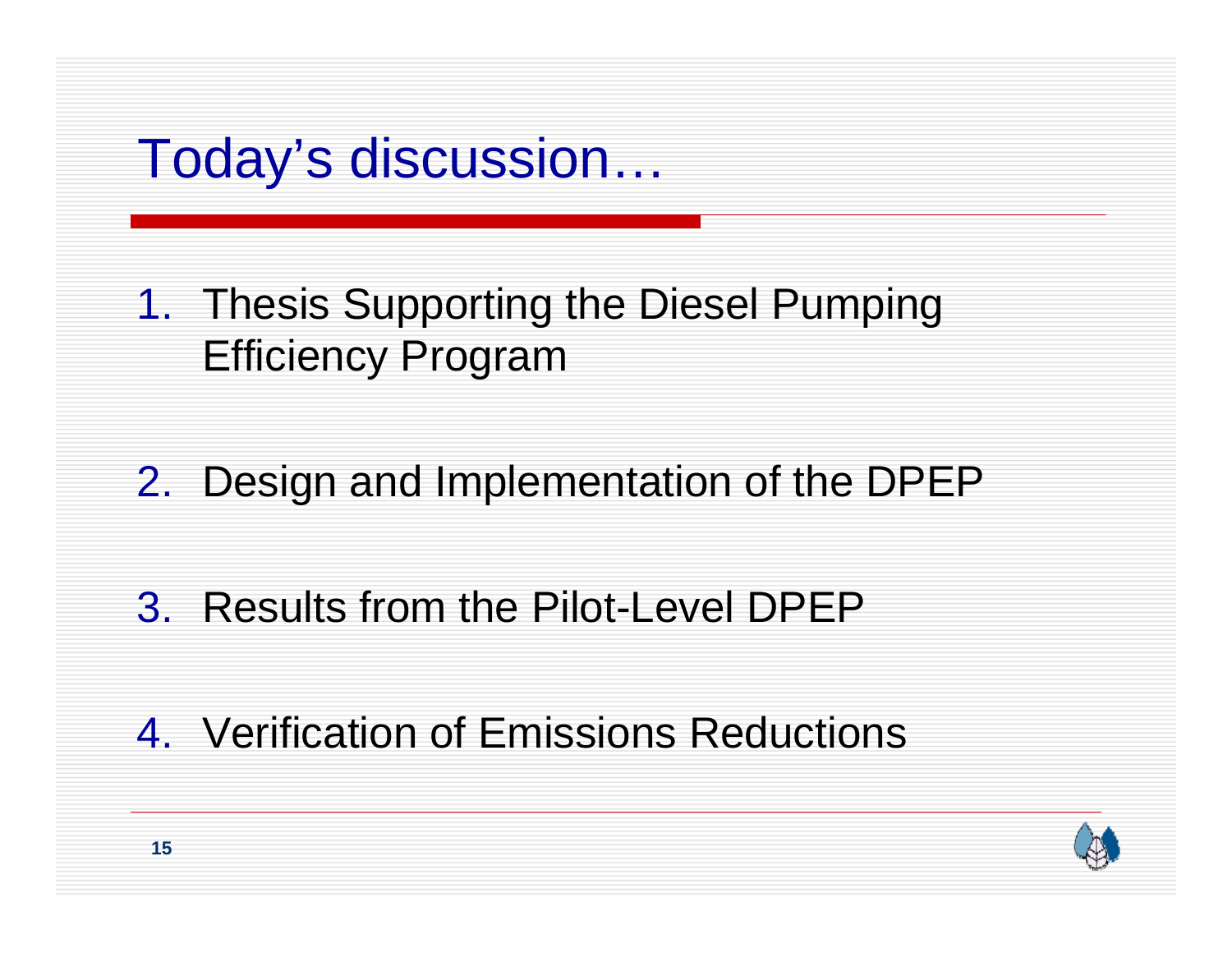### Today's discussion…

#### 1. Thesis Supporting the Diesel Pumping Efficiency Program

#### 2. Design and Implementation of the DPEP

#### 3. Results from the Pilot-Level DPEP

#### 4. Verification of Emissions Reductions

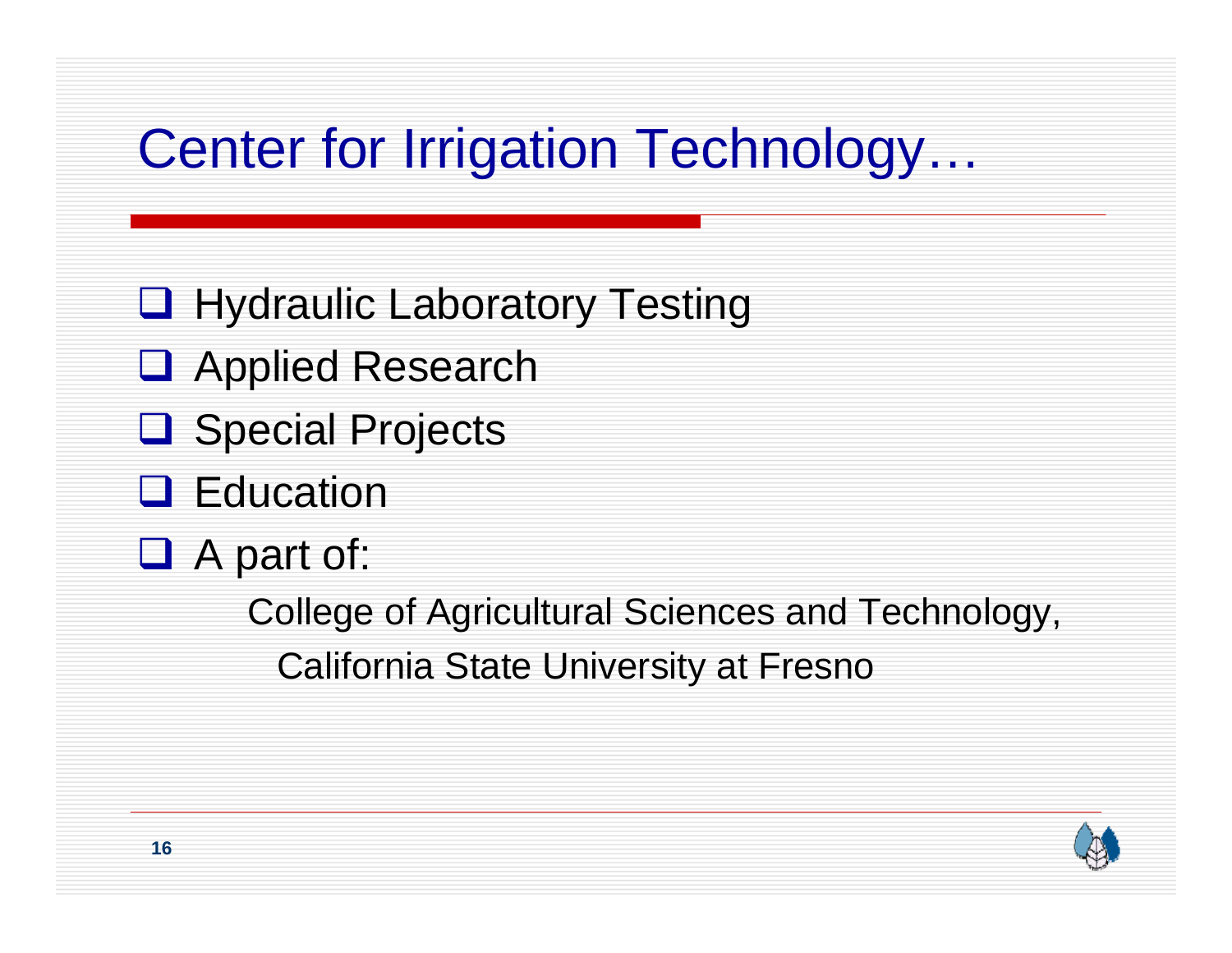# Center for Irrigation Technology…

- **Q** Hydraulic Laboratory Testing
- **Q** Applied Research
- **Q** Special Projects
- **Q** Education
- □ A part of:

College of Agricultural Sciences and Technology, California State University at Fresno

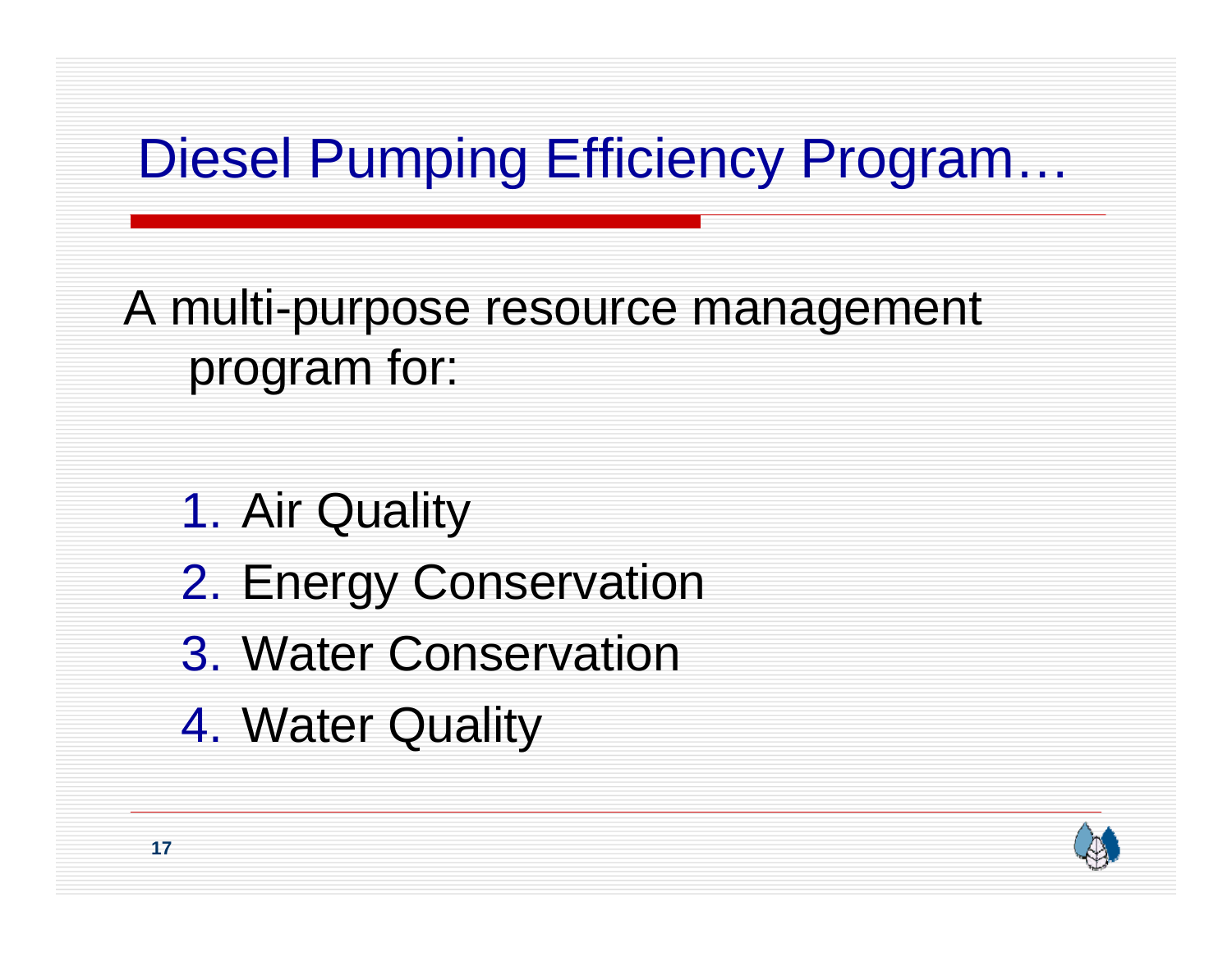# Diesel Pumping Efficiency Program…

A multi-purpose resource management program for:

- 1. Air Quality
- 2. Energy Conservation
- 3. Water Conservation
- 4. Water Quality

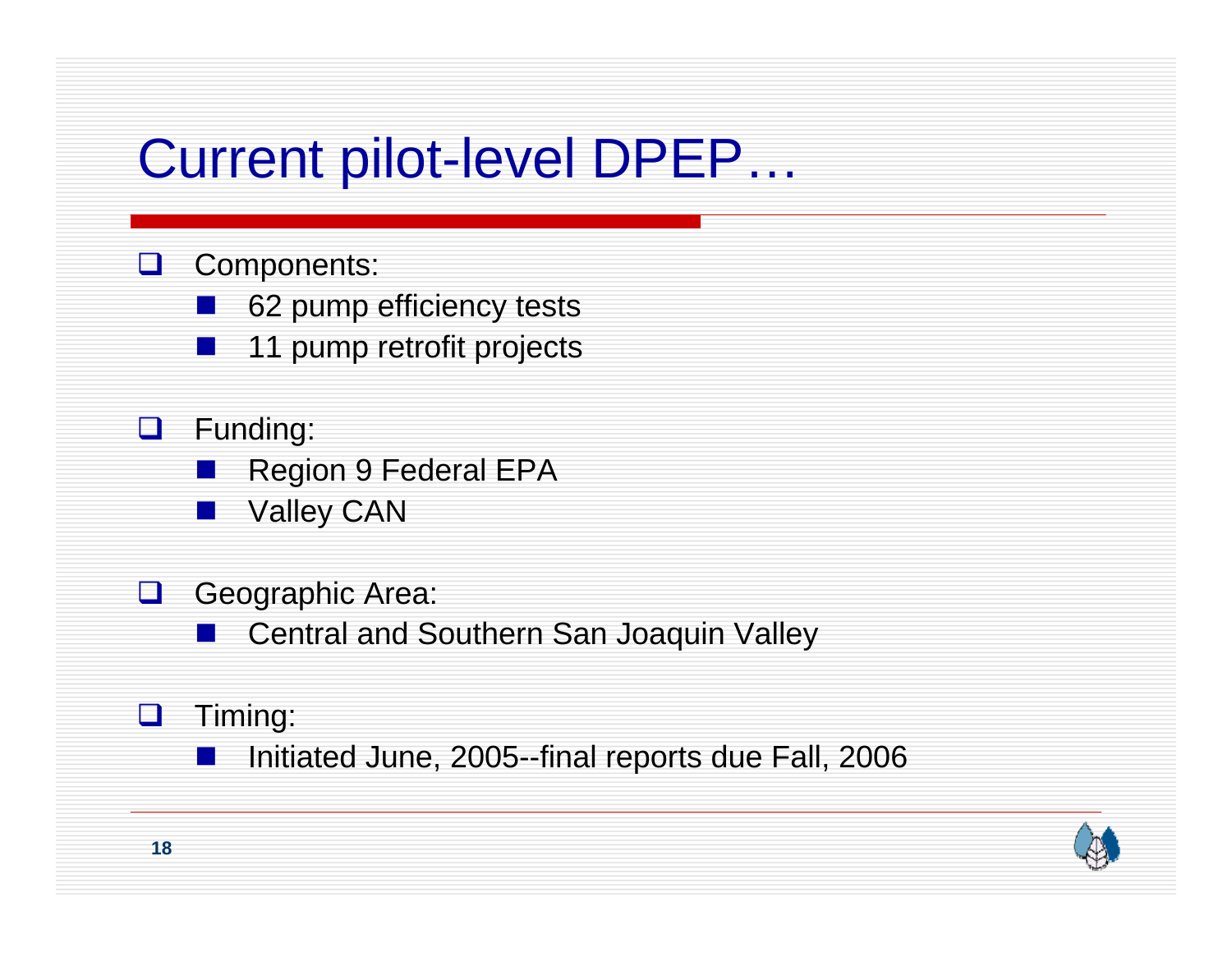## Current pilot-level DPEP…

#### **Q** Components:

- 62 pump efficiency tests
- 11 pump retrofit projects
- **Q** Funding:
	- Region 9 Federal EPA
		- Valley CAN
- $\Box$  Geographic Area:
	- Central and Southern San Joaquin Valley
- $\Box$  Timing:
	- Initiated June, 2005--final reports due Fall, 2006

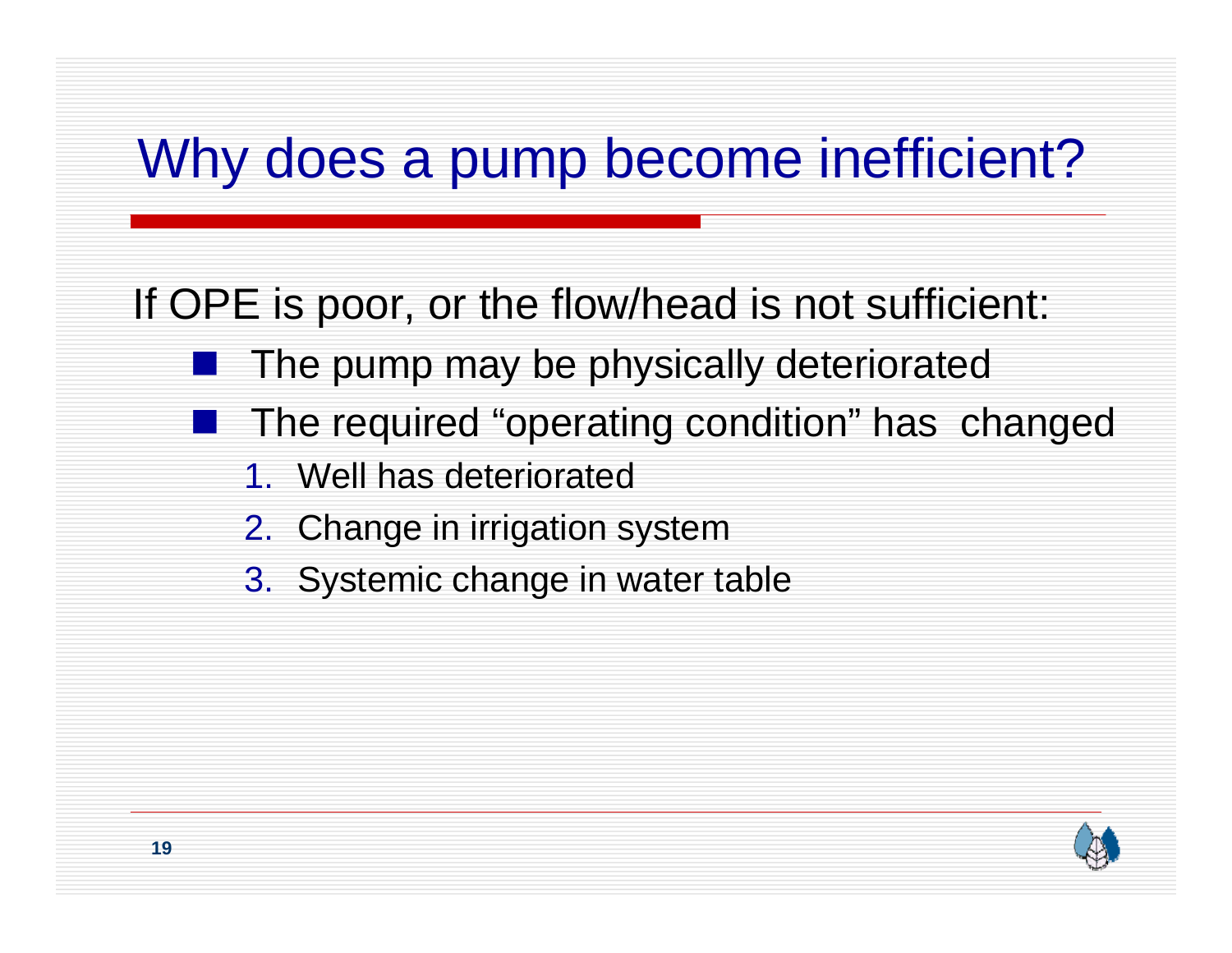# Why does a pump become inefficient?

If OPE is poor, or the flow/head is not sufficient:

- The pump may be physically deteriorated
- The required "operating condition" has changed
	- 1. Well has deteriorated
	- 2. Change in irrigation system
	- 3. Systemic change in water table

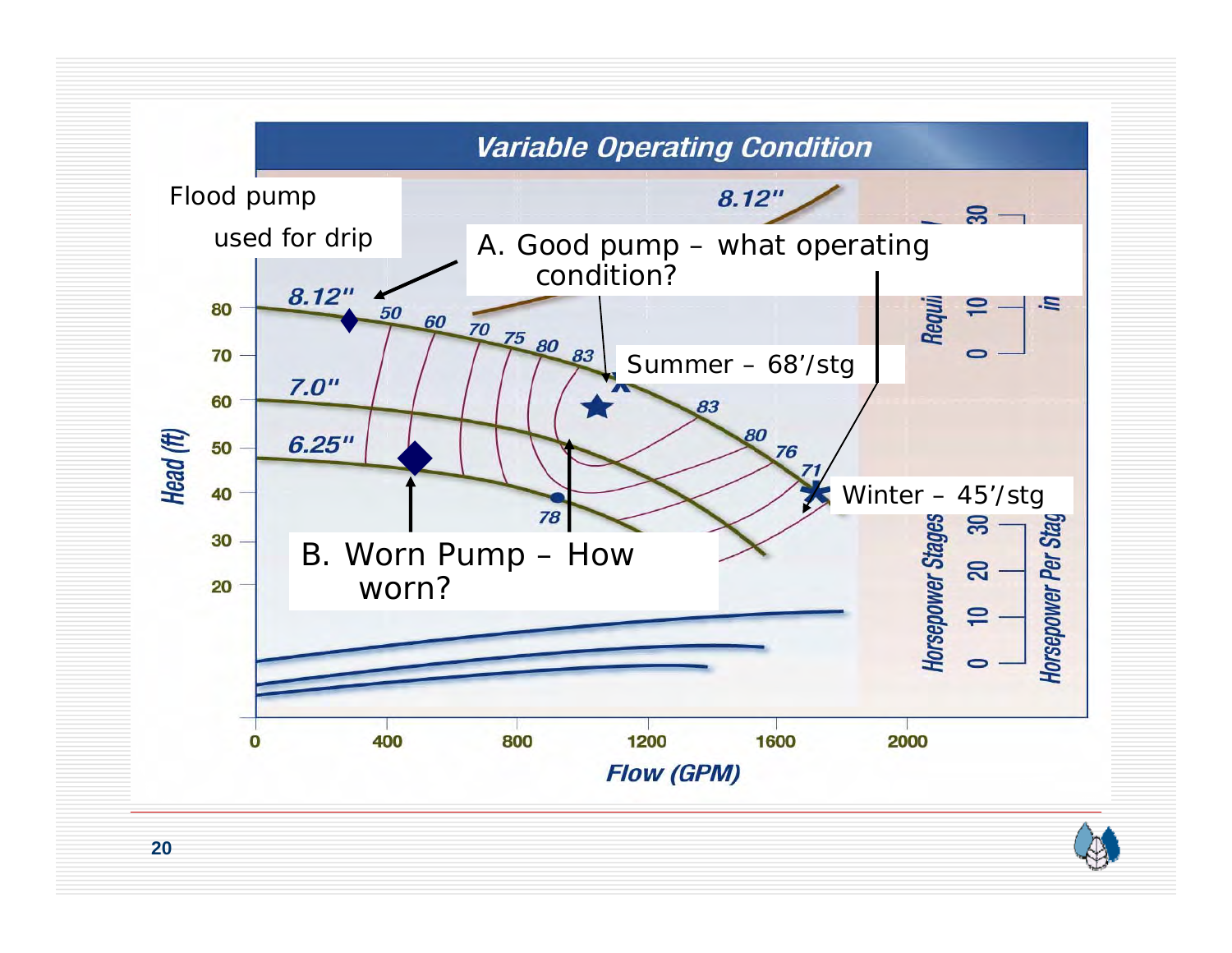

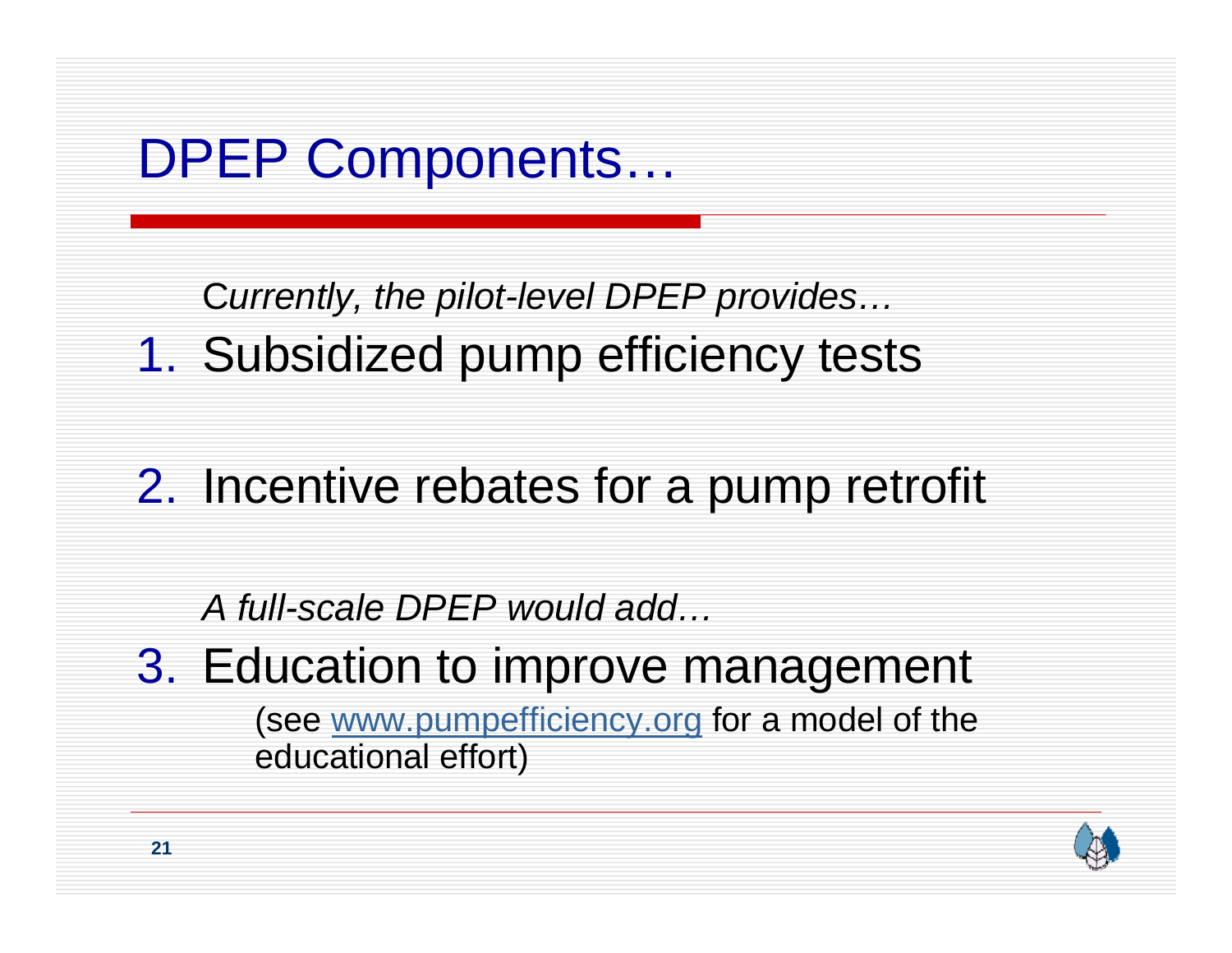## DPEP Components…

C*urrently, the pilot-level DPEP provides…*

1. Subsidized pump efficiency tests

#### 2. Incentive rebates for a pump retrofit

#### *A full-scale DPEP would add…*

3. Education to improve management (see www.pumpefficiency.org for a model of the educational effort)

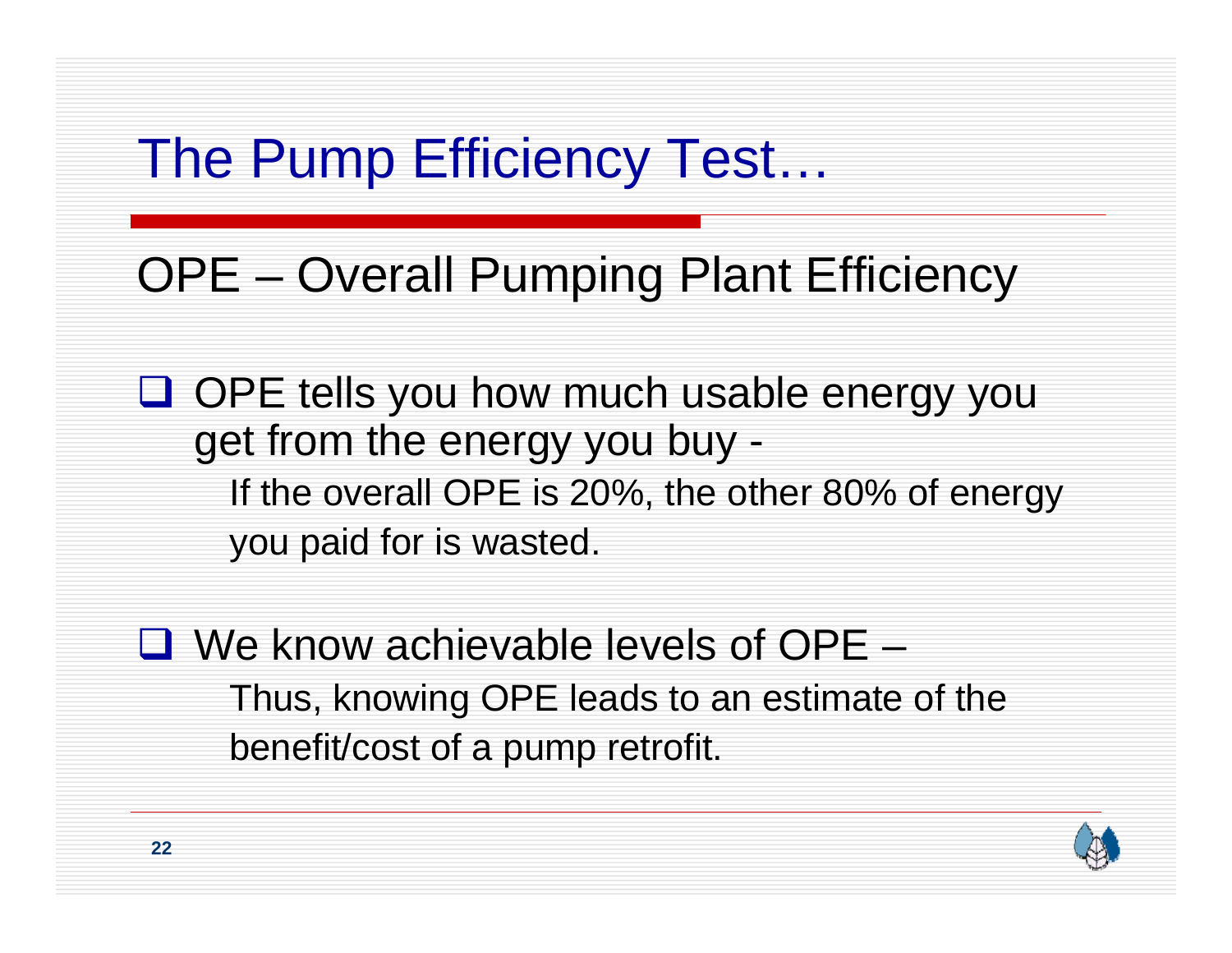# The Pump Efficiency Test…

#### OPE – Overall Pumping Plant Efficiency

**Q** OPE tells you how much usable energy you get from the energy you buy - If the overall OPE is 20%, the other 80% of energy you paid for is wasted.

 $\Box$  We know achievable levels of OPE  $-$ Thus, knowing OPE leads to an estimate of the benefit/cost of a pump retrofit.

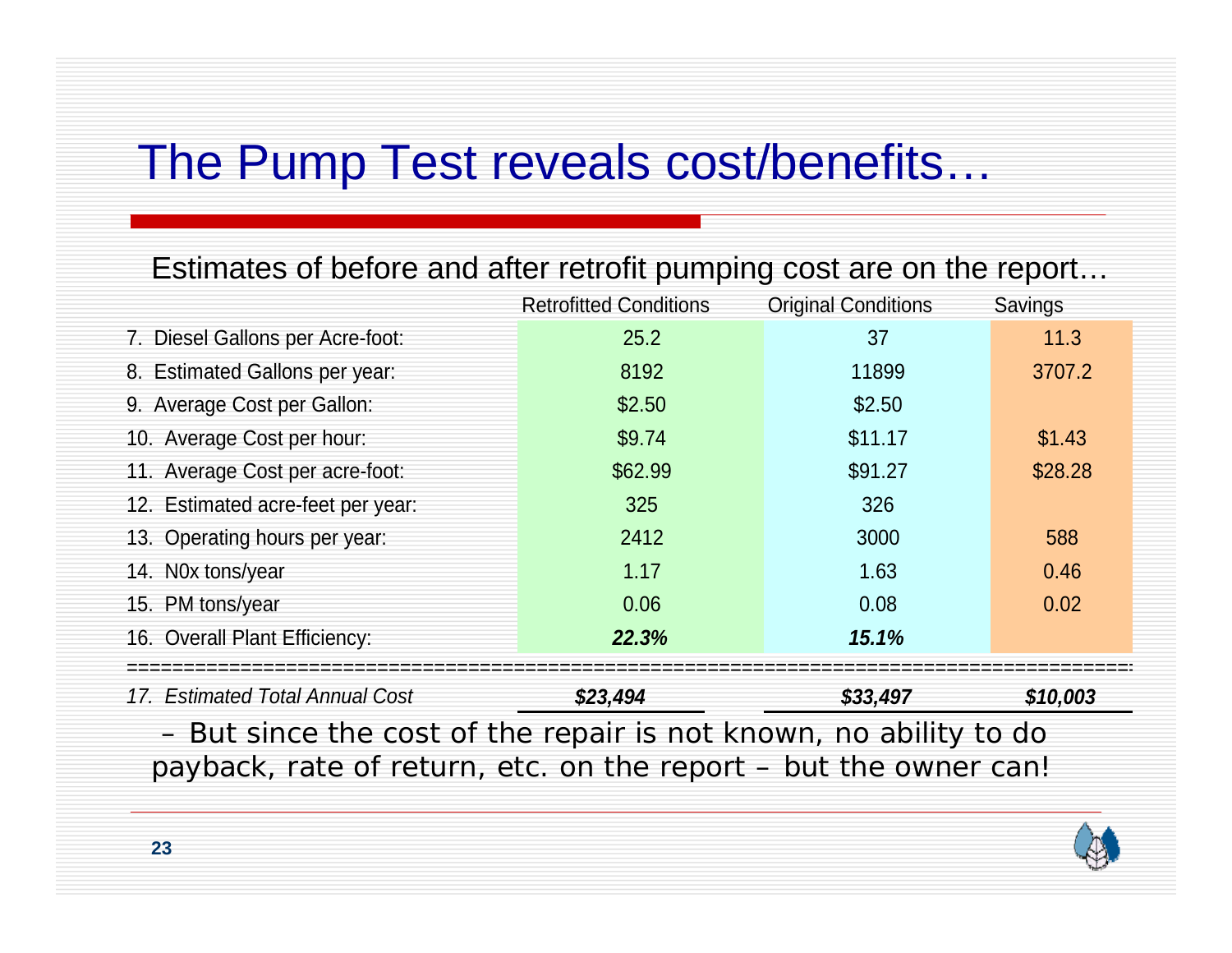#### The Pump Test reveals cost/benefits…

#### Estimates of before and after retrofit pumping cost are on the report…

|                                   | <b>Retrofitted Conditions</b> | <b>Original Conditions</b> | Savings  |
|-----------------------------------|-------------------------------|----------------------------|----------|
| 7. Diesel Gallons per Acre-foot:  | 25.2                          | 37                         | 11.3     |
| 8. Estimated Gallons per year:    | 8192                          | 11899                      | 3707.2   |
| 9. Average Cost per Gallon:       | \$2.50                        | \$2.50                     |          |
| 10. Average Cost per hour:        | \$9.74                        | \$11.17                    | \$1.43   |
| 11. Average Cost per acre-foot:   | \$62.99                       | \$91.27                    | \$28.28  |
| 12. Estimated acre-feet per year: | 325                           | 326                        |          |
| 13. Operating hours per year:     | 2412                          | 3000                       | 588      |
| 14. Nox tons/year                 | 1.17                          | 1.63                       | 0.46     |
| 15. PM tons/year                  | 0.06                          | 0.08                       | 0.02     |
| 16. Overall Plant Efficiency:     | 22.3%                         | 15.1%                      |          |
|                                   |                               |                            |          |
| 17. Estimated Total Annual Cost   | \$23,494                      | \$33,497                   | \$10,003 |
| $\sim$ $\sim$ $\sim$              |                               | .                          |          |

– But since the cost of the repair is not known, no ability to do payback, rate of return, etc. on the report – but the owner can!

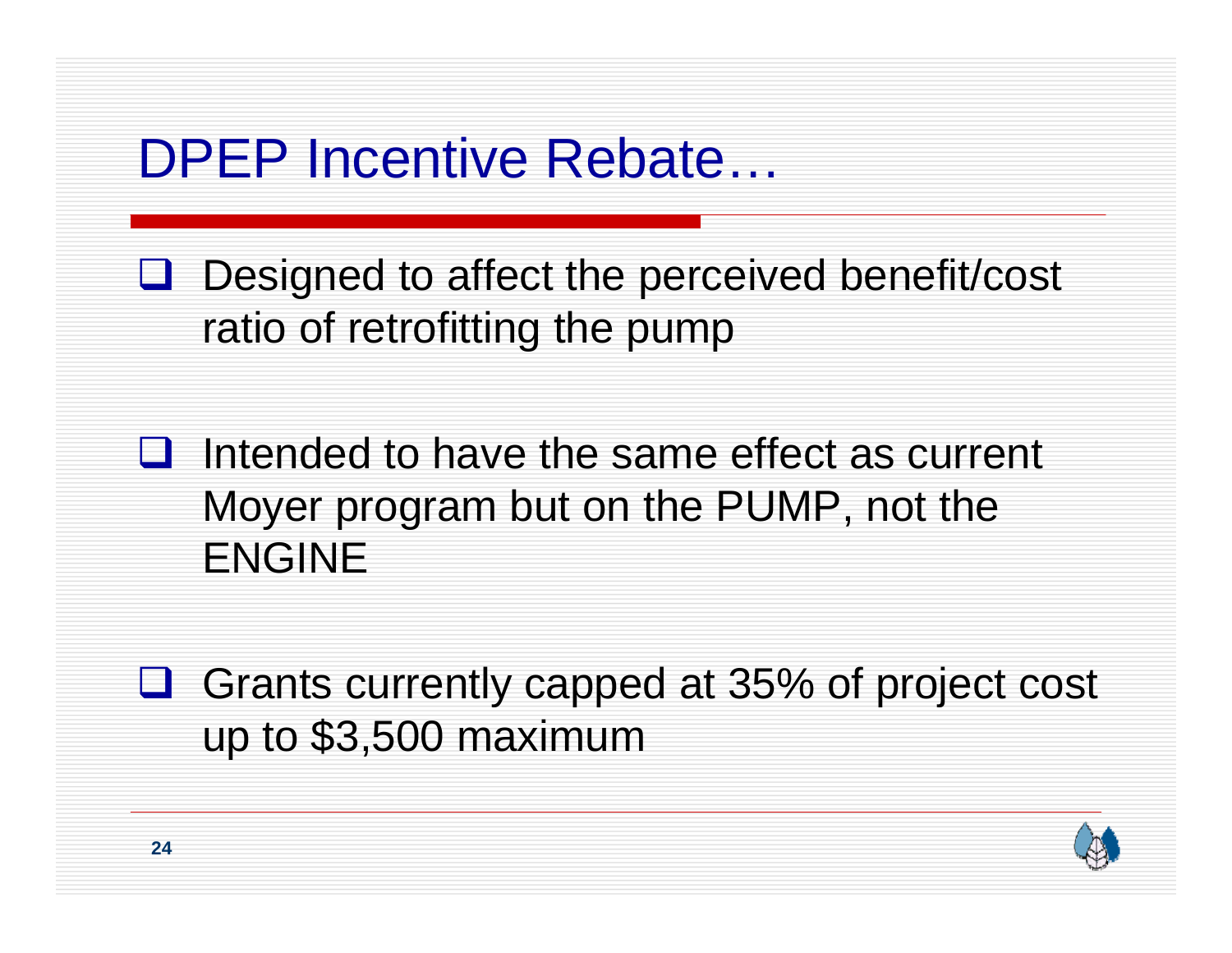#### DPEP Incentive Rebate…

 $\Box$  Designed to affect the perceived benefit/cost ratio of retrofitting the pump

 $\Box$  Intended to have the same effect as current Moyer program but on the PUMP, not the ENGINE

**□** Grants currently capped at 35% of project cost up to \$3,500 maximum

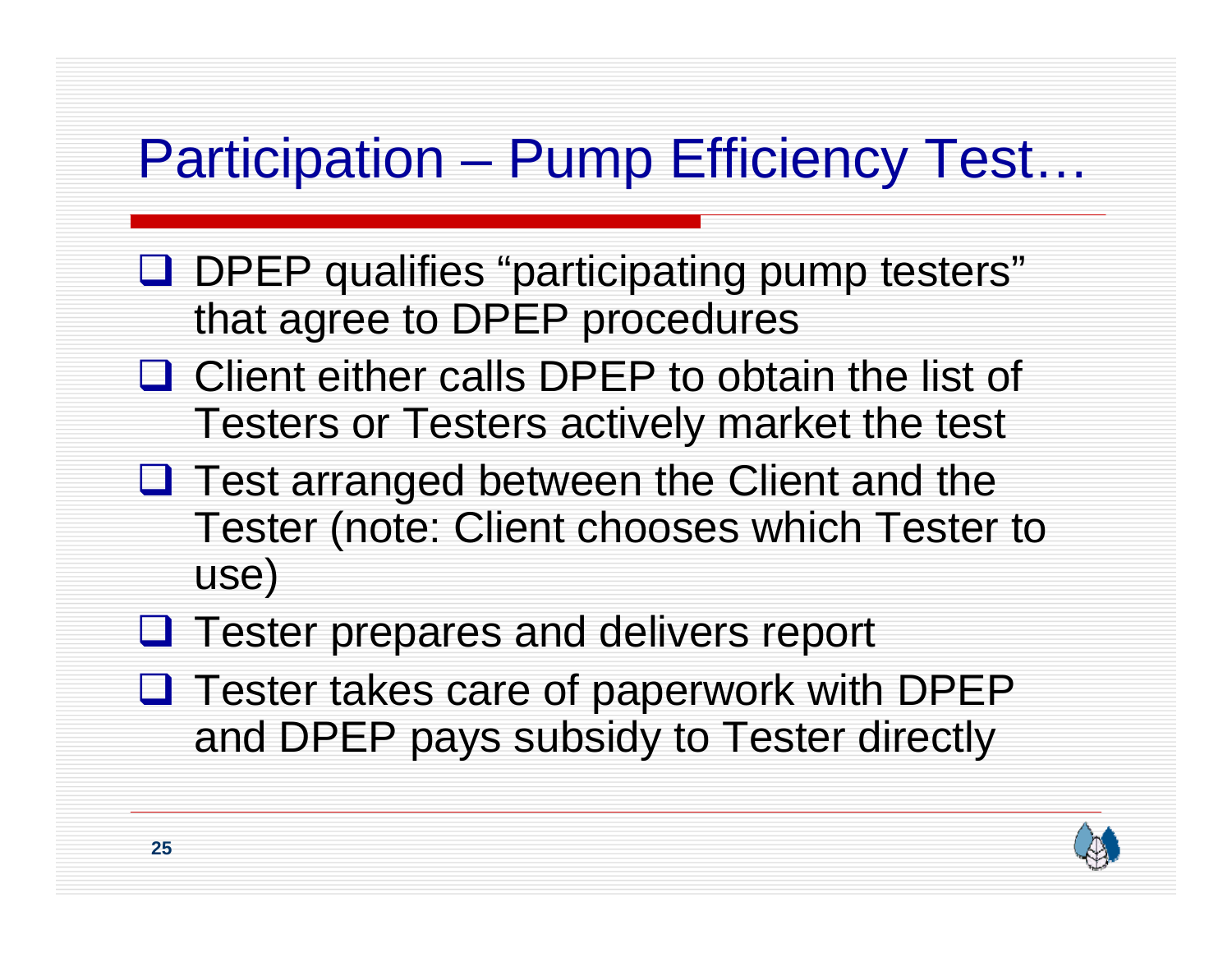## Participation – Pump Efficiency Test…

- **Q** DPEP qualifies "participating pump testers" that agree to DPEP procedures
- $\Box$  Client either calls DPEP to obtain the list of Testers or Testers actively market the test
- **Q** Test arranged between the Client and the Tester (note: Client chooses which Tester to use)
- **Q** Tester prepares and delivers report
- **Q** Tester takes care of paperwork with DPEP and DPEP pays subsidy to Tester directly

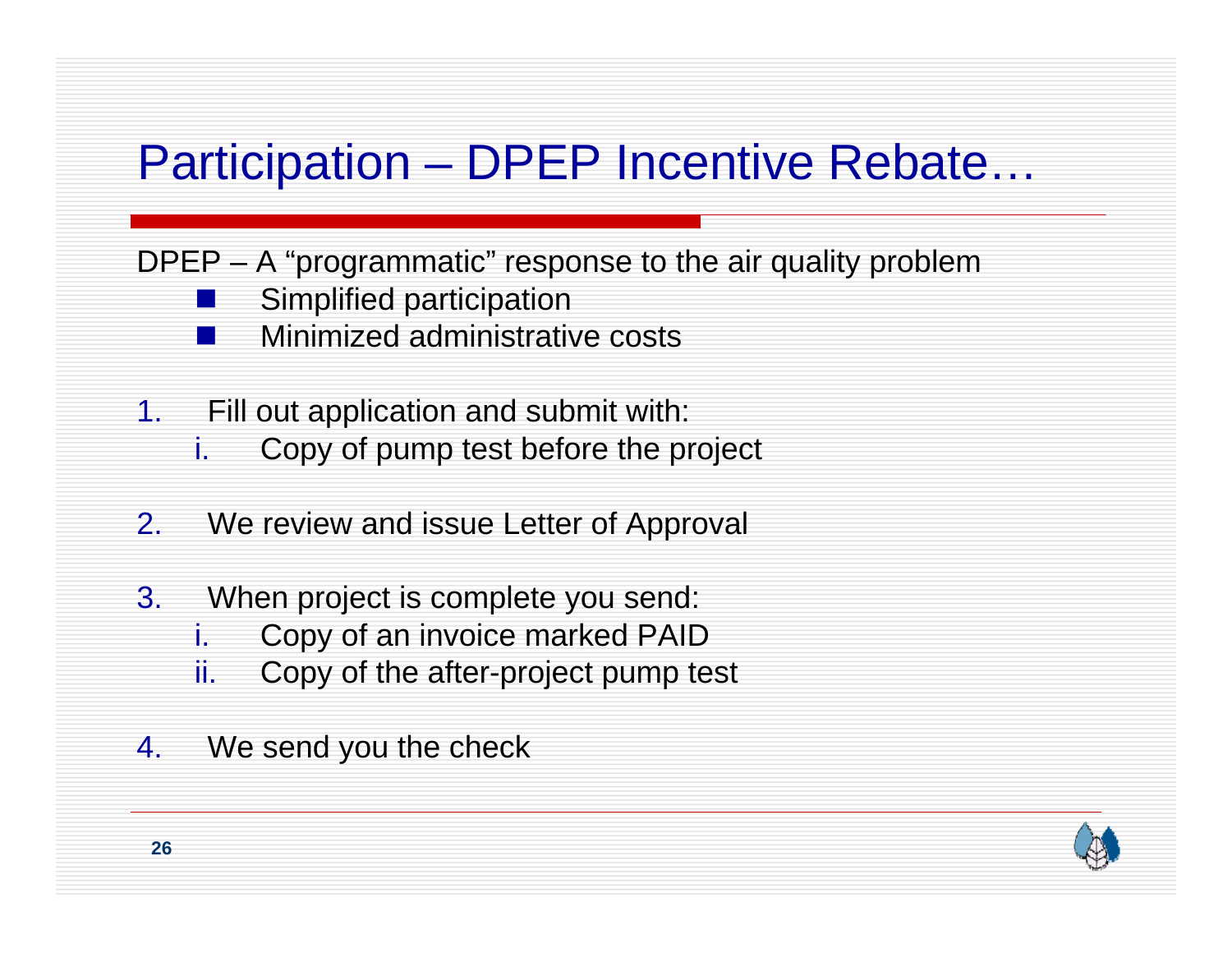#### Participation – DPEP Incentive Rebate…

DPEP – A "programmatic" response to the air quality problem

- Simplified participation
- Minimized administrative costs
- 1. Fill out application and submit with:
	- i.Copy of pump test before the project
- 2.We review and issue Letter of Approval
- 3. When project is complete you send:
	- i.Copy of an invoice marked PAID
	- ii.Copy of the after-project pump test
- 4.We send you the check

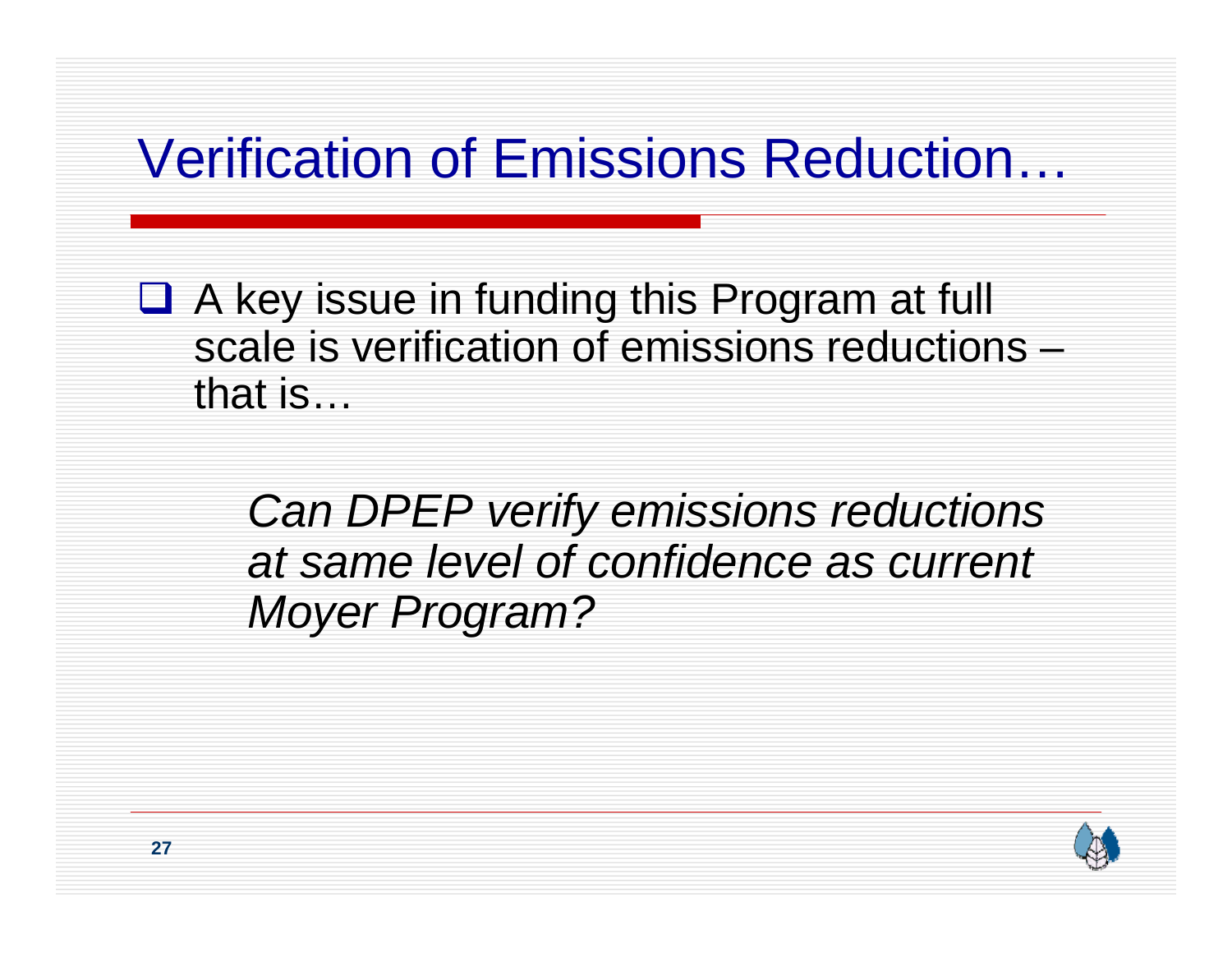# Verification of Emissions Reduction…

■ A key issue in funding this Program at full scale is verification of emissions reductions –that is…

> *Can DPEP verify emissions reductions at same level of confidence as current Moyer Program?*

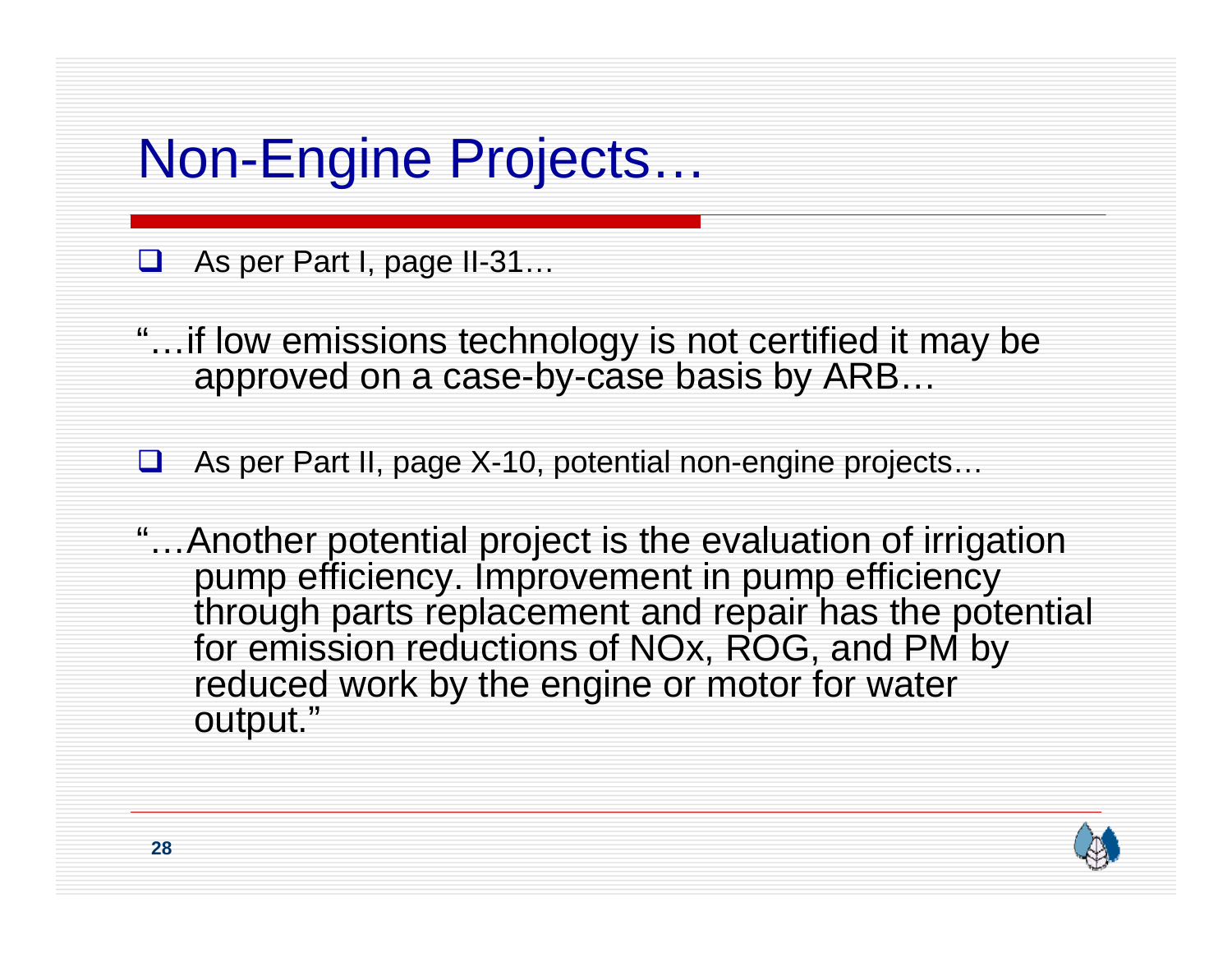## Non-Engine Projects…

As per Part I, page II-31…

"…if low emissions technology is not certified it may be approved on a case-by-case basis by ARB…

 $\Box$ As per Part II, page X-10, potential non-engine projects…

"…Another potential project is the evaluation of irrigation pump efficiency. Improvement in pump efficiency through parts replacement and repair has the potential for emission reductions of NOx, ROG, and PM by reduced work by the engine or motor for water output."

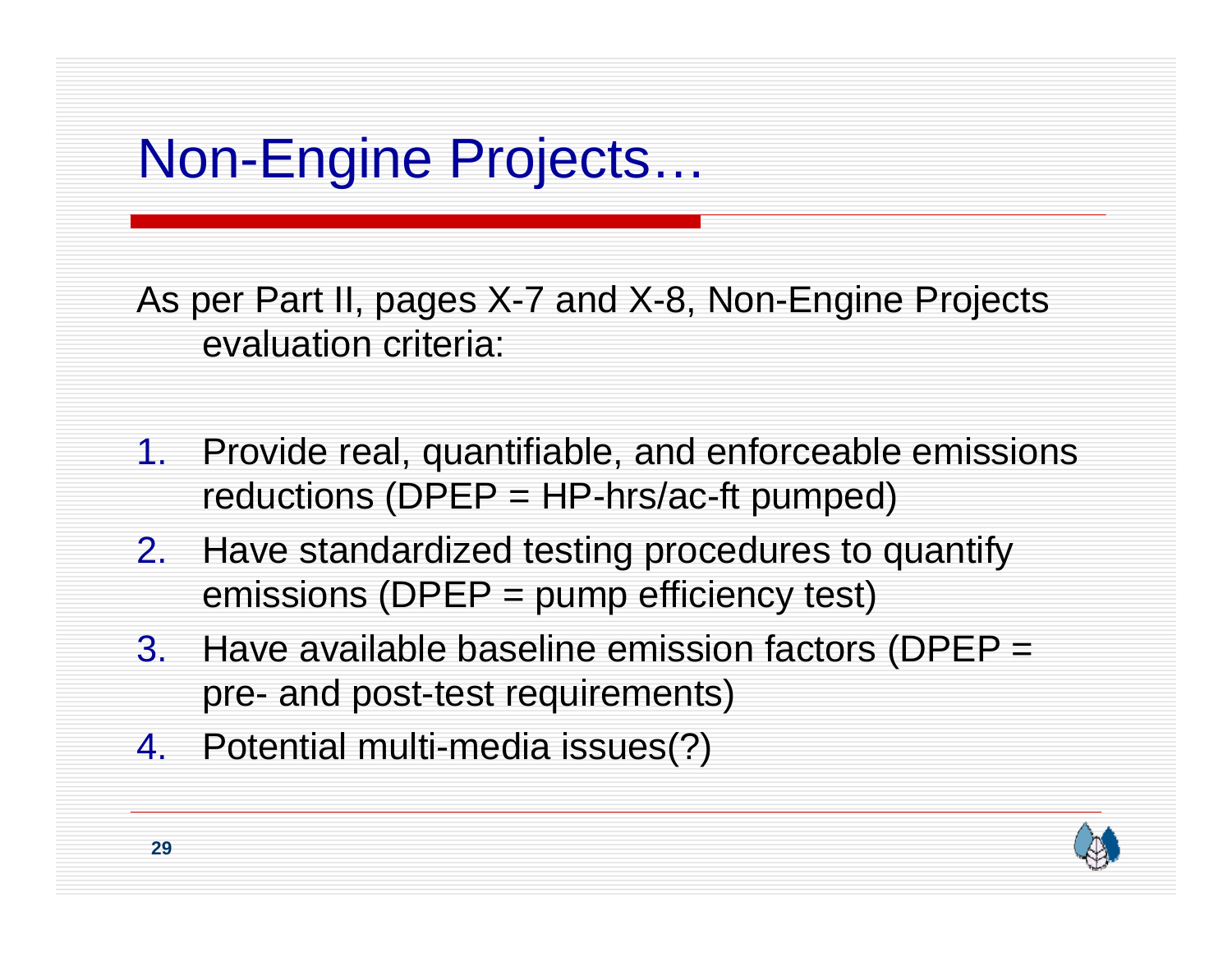# Non-Engine Projects…

As per Part II, pages X-7 and X-8, Non-Engine Projects evaluation criteria:

- 1. Provide real, quantifiable, and enforceable emissions reductions ( $DPEP = HP-hrs/ac-fit$  pumped)
- 2. Have standardized testing procedures to quantify emissions (DPEP = pump efficiency test)
- 3. Have available baseline emission factors (DPEP = pre- and post-test requirements)
- 4. Potential multi-media issues(?)

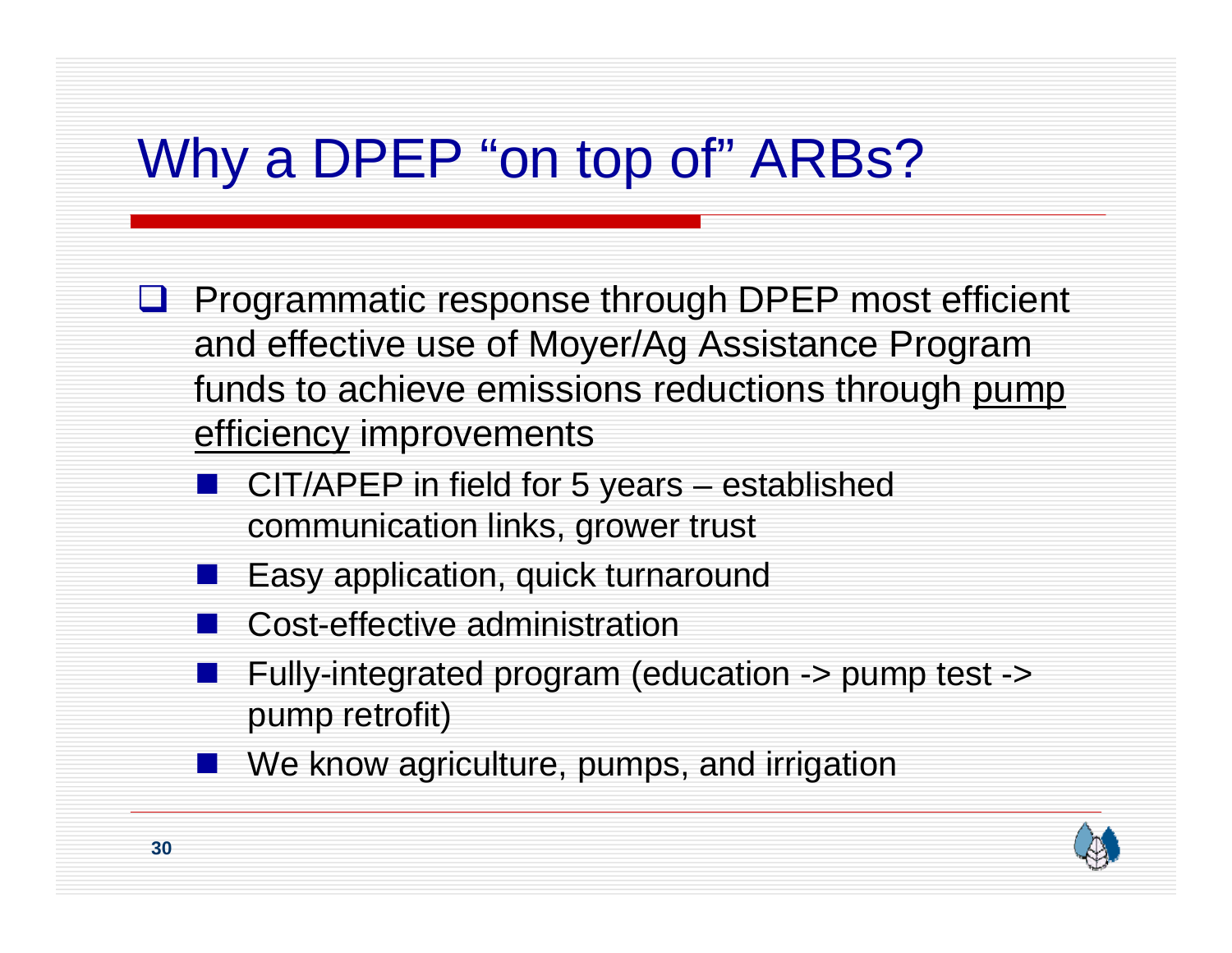# Why a DPEP "on top of" ARBs?

- **Q** Programmatic response through DPEP most efficient and effective use of Moyer/Ag Assistance Program funds to achieve emissions reductions through pump efficiency improvements
	- CIT/APEP in field for 5 years established communication links, grower trust
	- Easy application, quick turnaround
	- $\frac{1}{2}$ Cost-effective administration
	- Fully-integrated program (education -> pump test -> pump retrofit)
	- **Nomage 1.5 Now agriculture, pumps, and irrigation**

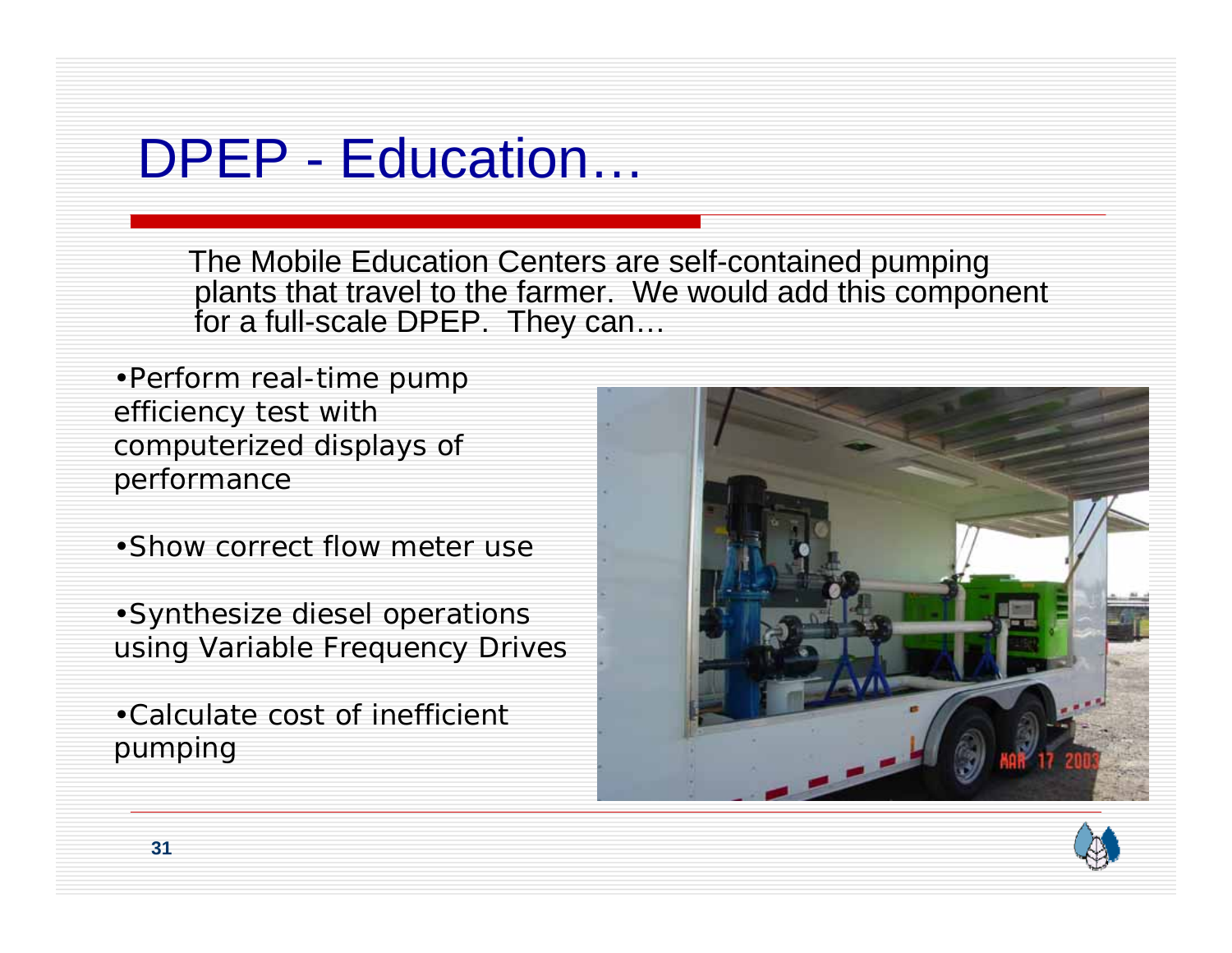#### DPEP - Education…

The Mobile Education Centers are self-contained pumping plants that travel to the farmer. We would add this component for a full-scale DPEP. They can…

•Perform real-time pump efficiency test with computerized displays of performance

•Show correct flow meter use

•Synthesize diesel operations using Variable Frequency Drives

•Calculate cost of inefficient pumping



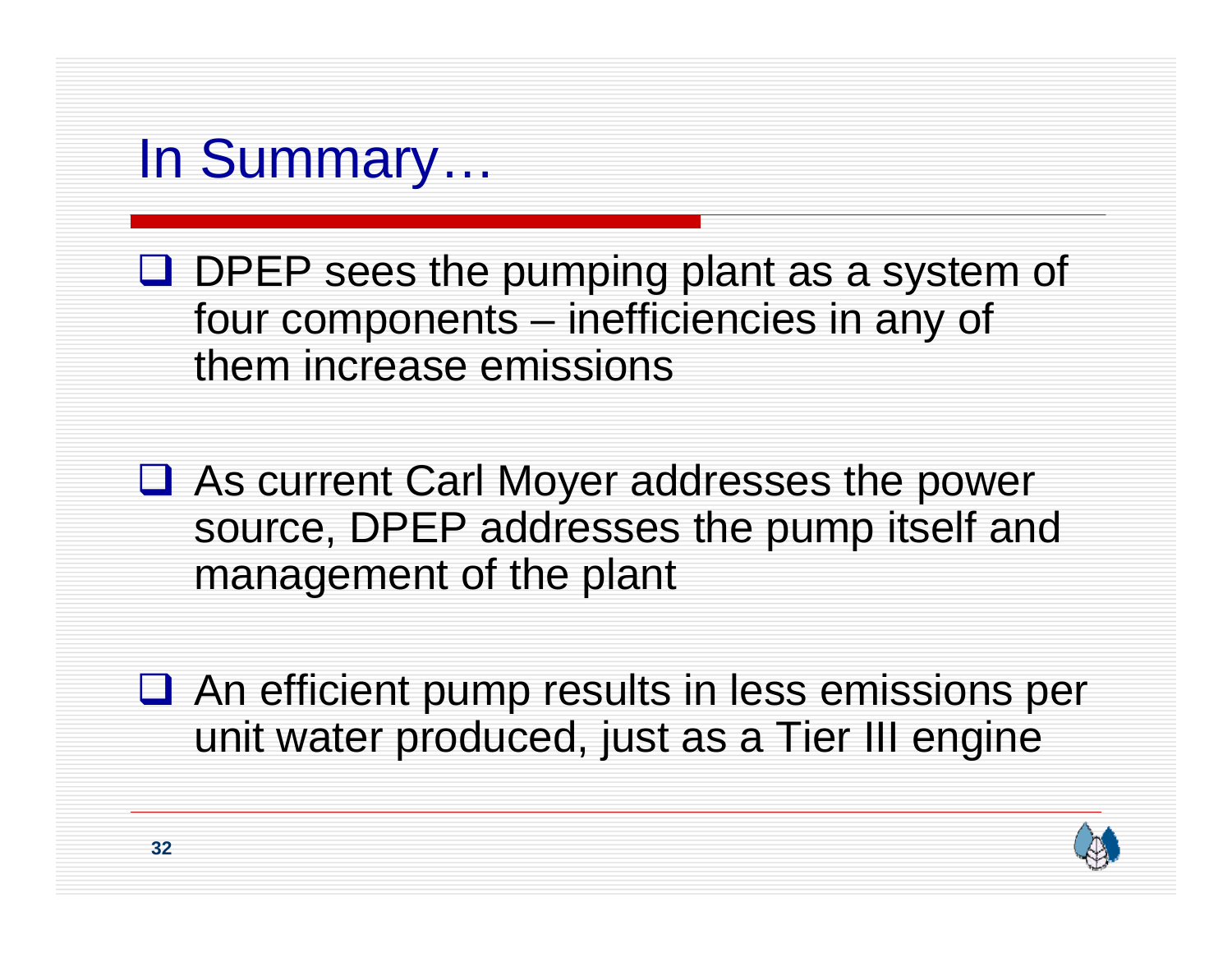#### In Summary…

 $\Box$  DPEP sees the pumping plant as a system of four components – inefficiencies in any of them increase emissions

**□ As current Carl Moyer addresses the power** source, DPEP addresses the pump itself and management of the plant

**□** An efficient pump results in less emissions per unit water produced, just as a Tier III engine

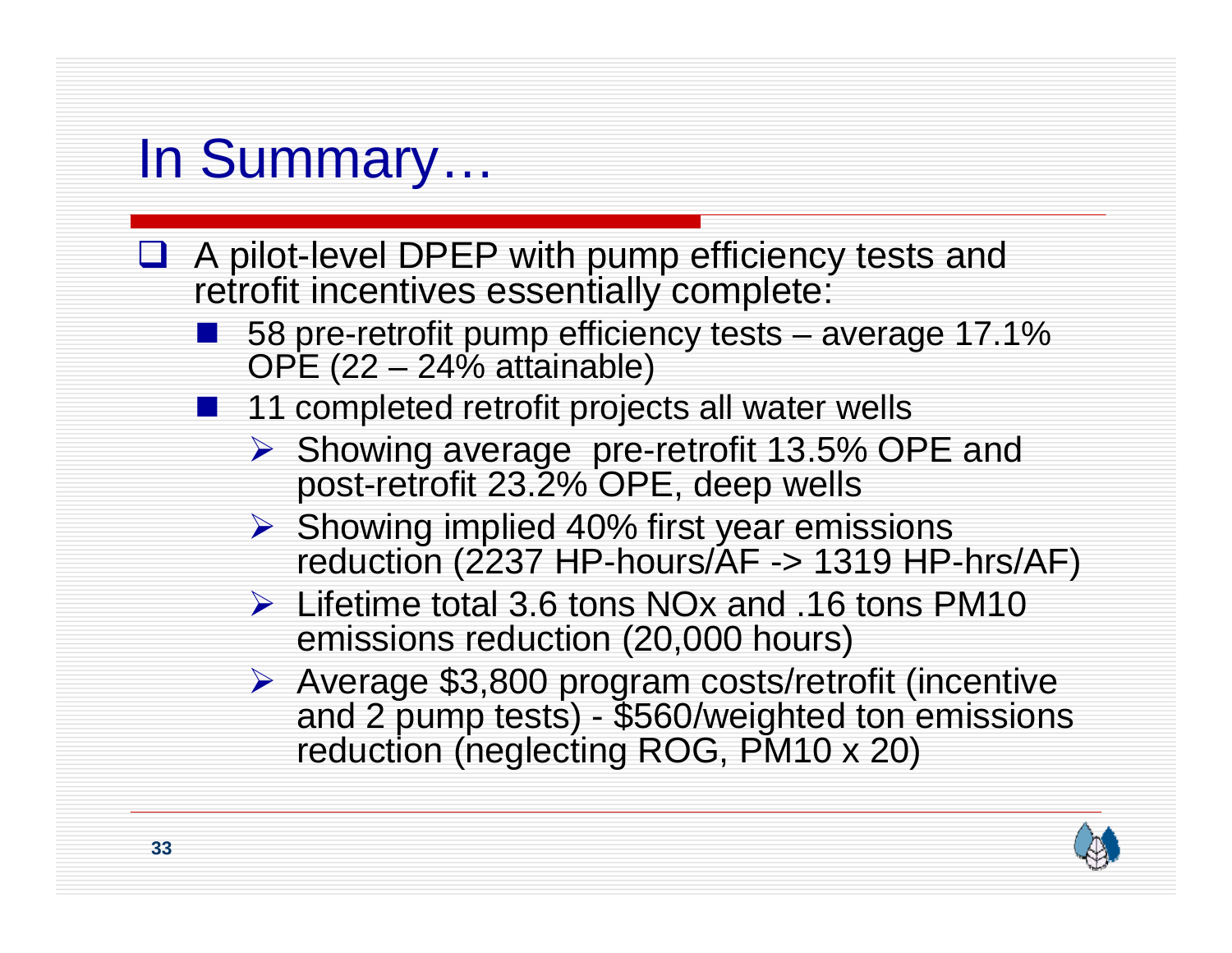## In Summary…

- **□** A pilot-level DPEP with pump efficiency tests and retrofit incentives essentially complete:
	- ■ 58 pre-retrofit pump efficiency tests – average 17.1% OPE (22 – 24% attainable)
	- **11** completed retrofit projects all water wells
		- ¾ Showing average pre-retrofit 13.5% OPE and post-retrofit 23.2% OPE, deep wells
		- ¾ Showing implied 40% first year emissions reduction (2237 HP-hours/AF -> 1319 HP-hrs/AF)
		- $\triangleright$  Lifetime total 3.6 tons NOx and .16 tons PM10 emissions reduction (20,000 hours)
		- ¾ Average \$3,800 program costs/retrofit (incentive and 2 pump tests) \$560/weighted ton emissions reduction (neglecting ROG, PM10 x 20)